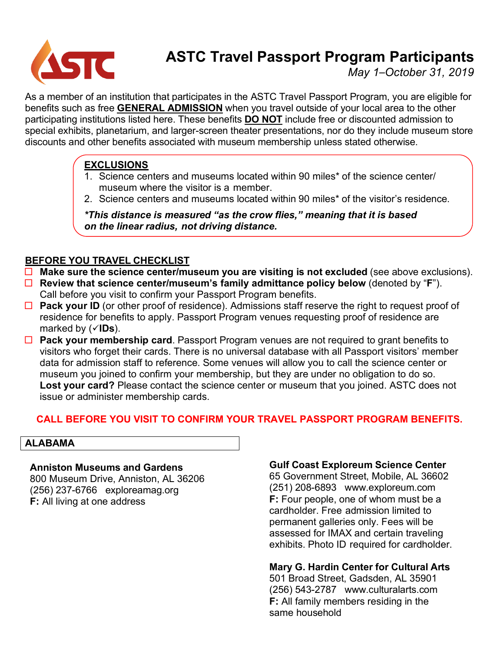

# **ASTC Travel Passport Program Participants**

*May 1–October 31, 2019*

As a member of an institution that participates in the ASTC Travel Passport Program, you are eligible for benefits such as free **GENERAL ADMISSION** when you travel outside of your local area to the other participating institutions listed here. These benefits **DO NOT** include free or discounted admission to special exhibits, planetarium, and larger-screen theater presentations, nor do they include museum store discounts and other benefits associated with museum membership unless stated otherwise.

# **EXCLUSIONS**

- 1. Science centers and museums located within 90 miles\* of the science center/ museum where the visitor is a member.
- 2. Science centers and museums located within 90 miles\* of the visitor's residence.

*\*This distance is measured "as the crow flies," meaning that it is based on the linear radius, not driving distance.*

# **BEFORE YOU TRAVEL CHECKLIST**

- ¨ **Make sure the science center/museum you are visiting is not excluded** (see above exclusions).
- ¨ **Review that science center/museum's family admittance policy below** (denoted by "**F**"). Call before you visit to confirm your Passport Program benefits.
- □ **Pack your ID** (or other proof of residence). Admissions staff reserve the right to request proof of residence for benefits to apply. Passport Program venues requesting proof of residence are marked by (**VIDs**).
- □ **Pack your membership card**. Passport Program venues are not required to grant benefits to visitors who forget their cards. There is no universal database with all Passport visitors' member data for admission staff to reference. Some venues will allow you to call the science center or museum you joined to confirm your membership, but they are under no obligation to do so. **Lost your card?** Please contact the science center or museum that you joined. ASTC does not issue or administer membership cards.

# **CALL BEFORE YOU VISIT TO CONFIRM YOUR TRAVEL PASSPORT PROGRAM BENEFITS.**

## **ALABAMA**

## **Anniston Museums and Gardens**

800 Museum Drive, Anniston, AL 36206 (256) 237-6766 exploreamag.org **F:** All living at one address

# **Gulf Coast Exploreum Science Center**

65 Government Street, Mobile, AL 36602 (251) 208-6893 www.exploreum.com **F:** Four people, one of whom must be a cardholder. Free admission limited to permanent galleries only. Fees will be assessed for IMAX and certain traveling exhibits. Photo ID required for cardholder.

# **Mary G. Hardin Center for Cultural Arts**

501 Broad Street, Gadsden, AL 35901 (256) 543-2787 www.culturalarts.com **F:** All family members residing in the same household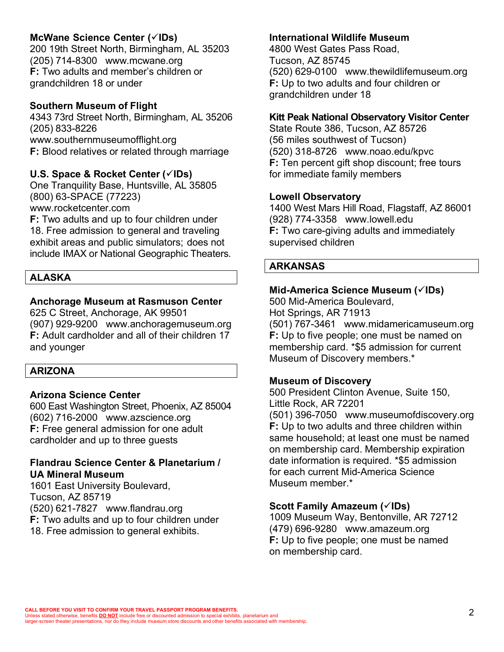# **McWane Science Center (**ü**IDs)**

200 19th Street North, Birmingham, AL 35203 (205) 714-8300 www.mcwane.org **F:** Two adults and member's children or grandchildren 18 or under

#### **Southern Museum of Flight**

4343 73rd Street North, Birmingham, AL 35206 (205) 833-8226 www.southernmuseumofflight.org **F:** Blood relatives or related through marriage

#### **U.S. Space & Rocket Center (**ü**IDs)**

One Tranquility Base, Huntsville, AL 35805 (800) 63-SPACE (77223) www.rocketcenter.com

**F:** Two adults and up to four children under 18. Free admission to general and traveling exhibit areas and public simulators; does not include IMAX or National Geographic Theaters.

#### **ALASKA**

## **Anchorage Museum at Rasmuson Center**

625 C Street, Anchorage, AK 99501 (907) 929-9200 www.anchoragemuseum.org **F:** Adult cardholder and all of their children 17 and younger

#### **ARIZONA**

#### **Arizona Science Center**

600 East Washington Street, Phoenix, AZ 85004 (602) 716-2000 www.azscience.org **F:** Free general admission for one adult cardholder and up to three guests

#### **Flandrau Science Center & Planetarium / UA Mineral Museum**

1601 East University Boulevard, Tucson, AZ 85719 (520) 621-7827 www.flandrau.org **F:** Two adults and up to four children under 18. Free admission to general exhibits.

#### **International Wildlife Museum**

4800 West Gates Pass Road, Tucson, AZ 85745 (520) 629-0100 www.thewildlifemuseum.org **F:** Up to two adults and four children or grandchildren under 18

#### **Kitt Peak National Observatory Visitor Center**

State Route 386, Tucson, AZ 85726 (56 miles southwest of Tucson) (520) 318-8726 www.noao.edu/kpvc **F:** Ten percent gift shop discount; free tours for immediate family members

#### **Lowell Observatory**

1400 West Mars Hill Road, Flagstaff, AZ 86001 (928) 774-3358 www.lowell.edu **F:** Two care-giving adults and immediately supervised children

#### **ARKANSAS**

#### **Mid-America Science Museum (√IDs)**

500 Mid-America Boulevard, Hot Springs, AR 71913 (501) 767-3461 www.midamericamuseum.org **F:** Up to five people; one must be named on membership card. \*\$5 admission for current Museum of Discovery members.\*

#### **Museum of Discovery**

500 President Clinton Avenue, Suite 150, Little Rock, AR 72201

(501) 396-7050 www.museumofdiscovery.org **F:** Up to two adults and three children within same household; at least one must be named on membership card. Membership expiration date information is required. \*\$5 admission for each current Mid-America Science Museum member.\*

## **Scott Family Amazeum (**ü**IDs)**

1009 Museum Way, Bentonville, AR 72712 (479) 696-9280 www.amazeum.org **F:** Up to five people; one must be named on membership card.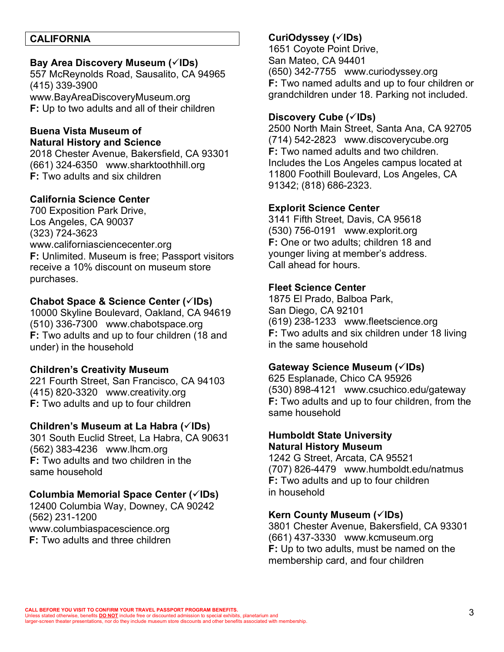#### **CALIFORNIA**

#### Bay Area Discovery Museum ( $\checkmark$ IDs)

557 McReynolds Road, Sausalito, CA 94965 (415) 339-3900 www.BayAreaDiscoveryMuseum.org **F:** Up to two adults and all of their children

## **Buena Vista Museum of Natural History and Science**

2018 Chester Avenue, Bakersfield, CA 93301 (661) 324-6350 www.sharktoothhill.org **F:** Two adults and six children

## **California Science Center**

700 Exposition Park Drive, Los Angeles, CA 90037 (323) 724-3623 www.californiasciencecenter.org **F:** Unlimited. Museum is free; Passport visitors receive a 10% discount on museum store purchases.

#### **Chabot Space & Science Center (**ü**IDs)**

10000 Skyline Boulevard, Oakland, CA 94619 (510) 336-7300 www.chabotspace.org **F:** Two adults and up to four children (18 and under) in the household

## **Children's Creativity Museum**

221 Fourth Street, San Francisco, CA 94103 (415) 820-3320 www.creativity.org **F:** Two adults and up to four children

#### **Children's Museum at La Habra (√IDs)**

301 South Euclid Street, La Habra, CA 90631 (562) 383-4236 www.lhcm.org **F:** Two adults and two children in the same household

## **Columbia Memorial Space Center (**ü**IDs)**

12400 Columbia Way, Downey, CA 90242 (562) 231-1200 www.columbiaspacescience.org **F:** Two adults and three children

## **CuriOdyssey (**ü**IDs)**

1651 Coyote Point Drive, San Mateo, CA 94401 (650) 342-7755 www.curiodyssey.org **F:** Two named adults and up to four children or grandchildren under 18. Parking not included.

#### **Discovery Cube (**ü**IDs)**

2500 North Main Street, Santa Ana, CA 92705 (714) 542-2823 www.discoverycube.org **F:** Two named adults and two children. Includes the Los Angeles campus located at 11800 Foothill Boulevard, Los Angeles, CA 91342; (818) 686-2323.

#### **Explorit Science Center**

3141 Fifth Street, Davis, CA 95618 (530) 756-0191 www.explorit.org **F:** One or two adults; children 18 and younger living at member's address. Call ahead for hours.

#### **Fleet Science Center**

1875 El Prado, Balboa Park, San Diego, CA 92101 (619) 238-1233 www.fleetscience.org **F:** Two adults and six children under 18 living in the same household

## **Gateway Science Museum (**ü**IDs)**

625 Esplanade, Chico CA 95926 (530) 898-4121 www.csuchico.edu/gateway **F:** Two adults and up to four children, from the same household

#### **Humboldt State University Natural History Museum**

1242 G Street, Arcata, CA 95521 (707) 826-4479 www.humboldt.edu/natmus **F:** Two adults and up to four children in household

#### **Kern County Museum (**ü**IDs)**

3801 Chester Avenue, Bakersfield, CA 93301 (661) 437-3330 www.kcmuseum.org **F:** Up to two adults, must be named on the membership card, and four children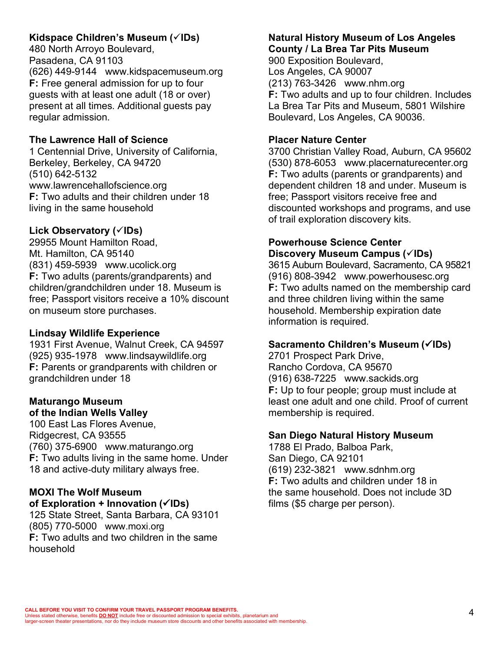# **Kidspace Children's Museum (√IDs)**

480 North Arroyo Boulevard, Pasadena, CA 91103 (626) 449-9144 www.kidspacemuseum.org **F:** Free general admission for up to four guests with at least one adult (18 or over) present at all times. Additional guests pay regular admission.

## **The Lawrence Hall of Science**

1 Centennial Drive, University of California, Berkeley, Berkeley, CA 94720 (510) 642-5132 www.lawrencehallofscience.org **F:** Two adults and their children under 18 living in the same household

## Lick Observatory ( $\check{\text{C}}$ IDs)

29955 Mount Hamilton Road, Mt. Hamilton, CA 95140 (831) 459-5939 www.ucolick.org **F:** Two adults (parents/grandparents) and children/grandchildren under 18. Museum is free; Passport visitors receive a 10% discount on museum store purchases.

## **Lindsay Wildlife Experience**

1931 First Avenue, Walnut Creek, CA 94597 (925) 935-1978 www.lindsaywildlife.org **F:** Parents or grandparents with children or grandchildren under 18

## **Maturango Museum of the Indian Wells Valley**

100 East Las Flores Avenue, Ridgecrest, CA 93555 (760) 375-6900 www.maturango.org **F:** Two adults living in the same home. Under 18 and active-duty military always free.

# **MOXI The Wolf Museum**

**of Exploration** + **Innovation** (<del></del><del></del> $\checkmark$ **IDs**) 125 State Street, Santa Barbara, CA 93101 (805) 770-5000 www.moxi.org **F:** Two adults and two children in the same household

## **Natural History Museum of Los Angeles County / La Brea Tar Pits Museum**

900 Exposition Boulevard, Los Angeles, CA 90007 (213) 763-3426 www.nhm.org **F:** Two adults and up to four children. Includes La Brea Tar Pits and Museum, 5801 Wilshire Boulevard, Los Angeles, CA 90036.

## **Placer Nature Center**

3700 Christian Valley Road, Auburn, CA 95602 (530) 878-6053 www.placernaturecenter.org **F:** Two adults (parents or grandparents) and dependent children 18 and under. Museum is free; Passport visitors receive free and discounted workshops and programs, and use of trail exploration discovery kits.

## **Powerhouse Science Center Discovery Museum Campus (**ü**IDs)**

3615 Auburn Boulevard, Sacramento, CA 95821 (916) 808-3942 www.powerhousesc.org **F:** Two adults named on the membership card and three children living within the same household. Membership expiration date information is required.

# **Sacramento Children's Museum (√IDs)**

2701 Prospect Park Drive, Rancho Cordova, CA 95670 (916) 638-7225 www.sackids.org **F:** Up to four people; group must include at least one adult and one child. Proof of current membership is required.

## **San Diego Natural History Museum**

1788 El Prado, Balboa Park, San Diego, CA 92101 (619) 232-3821 www.sdnhm.org **F:** Two adults and children under 18 in the same household. Does not include 3D films (\$5 charge per person).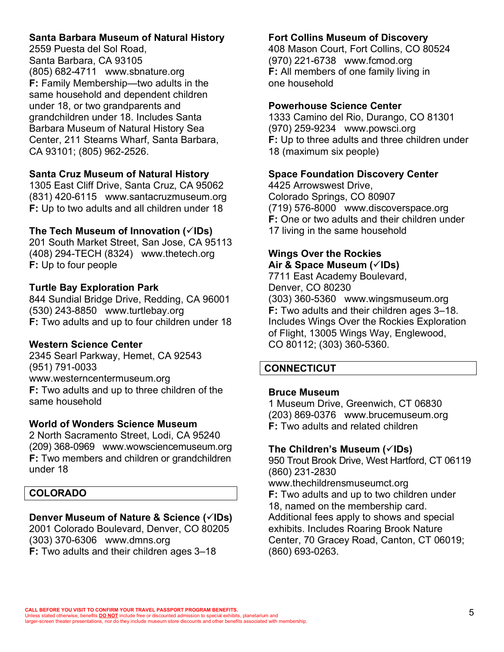# **Santa Barbara Museum of Natural History**

2559 Puesta del Sol Road, Santa Barbara, CA 93105 (805) 682-4711 www.sbnature.org **F:** Family Membership—two adults in the same household and dependent children under 18, or two grandparents and grandchildren under 18. Includes Santa Barbara Museum of Natural History Sea Center, 211 Stearns Wharf, Santa Barbara, CA 93101; (805) 962-2526.

#### **Santa Cruz Museum of Natural History**

1305 East Cliff Drive, Santa Cruz, CA 95062 (831) 420-6115 www.santacruzmuseum.org **F:** Up to two adults and all children under 18

#### **The Tech Museum of Innovation (**ü**IDs)**

201 South Market Street, San Jose, CA 95113 (408) 294-TECH (8324) www.thetech.org **F:** Up to four people

#### **Turtle Bay Exploration Park**

844 Sundial Bridge Drive, Redding, CA 96001 (530) 243-8850 www.turtlebay.org **F:** Two adults and up to four children under 18

#### **Western Science Center**

2345 Searl Parkway, Hemet, CA 92543 (951) 791-0033 www.westerncentermuseum.org **F:** Two adults and up to three children of the

# **World of Wonders Science Museum**

2 North Sacramento Street, Lodi, CA 95240 (209) 368-0969 www.wowsciencemuseum.org **F:** Two members and children or grandchildren under 18

#### **COLORADO**

same household

# **Denver Museum of Nature & Science (√IDs)**

2001 Colorado Boulevard, Denver, CO 80205 (303) 370-6306 www.dmns.org

**F:** Two adults and their children ages 3–18

## **Fort Collins Museum of Discovery**

408 Mason Court, Fort Collins, CO 80524 (970) 221-6738 www.fcmod.org **F:** All members of one family living in one household

## **Powerhouse Science Center**

1333 Camino del Rio, Durango, CO 81301 (970) 259-9234 www.powsci.org **F:** Up to three adults and three children under 18 (maximum six people)

## **Space Foundation Discovery Center**

4425 Arrowswest Drive, Colorado Springs, CO 80907 (719) 576-8000 www.discoverspace.org **F:** One or two adults and their children under 17 living in the same household

#### **Wings Over the Rockies Air & Space Museum (**ü**IDs)**

7711 East Academy Boulevard, Denver, CO 80230 (303) 360-5360 www.wingsmuseum.org **F:** Two adults and their children ages 3–18. Includes Wings Over the Rockies Exploration of Flight, 13005 Wings Way, Englewood, CO 80112; (303) 360-5360.

## **CONNECTICUT**

#### **Bruce Museum**

1 Museum Drive, Greenwich, CT 06830 (203) 869-0376 www.brucemuseum.org **F:** Two adults and related children

#### **The Children's Museum (**ü**IDs)**

950 Trout Brook Drive, West Hartford, CT 06119 (860) 231-2830

www.thechildrensmuseumct.org

**F:** Two adults and up to two children under 18, named on the membership card. Additional fees apply to shows and special exhibits. Includes Roaring Brook Nature Center, 70 Gracey Road, Canton, CT 06019; (860) 693-0263.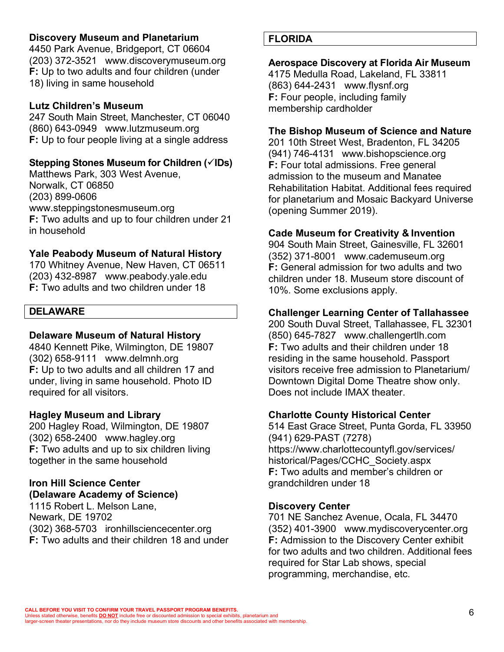## **Discovery Museum and Planetarium**

4450 Park Avenue, Bridgeport, CT 06604 (203) 372-3521 www.discoverymuseum.org **F:** Up to two adults and four children (under 18) living in same household

#### **Lutz Children's Museum**

247 South Main Street, Manchester, CT 06040 (860) 643-0949 www.lutzmuseum.org **F:** Up to four people living at a single address

## **Stepping Stones Museum for Children (**ü**IDs)**

Matthews Park, 303 West Avenue, Norwalk, CT 06850 (203) 899-0606 www.steppingstonesmuseum.org **F:** Two adults and up to four children under 21 in household

## **Yale Peabody Museum of Natural History**

170 Whitney Avenue, New Haven, CT 06511 (203) 432-8987 www.peabody.yale.edu **F:** Two adults and two children under 18

#### **DELAWARE**

## **Delaware Museum of Natural History**

4840 Kennett Pike, Wilmington, DE 19807 (302) 658-9111 www.delmnh.org **F:** Up to two adults and all children 17 and under, living in same household. Photo ID required for all visitors.

#### **Hagley Museum and Library**

200 Hagley Road, Wilmington, DE 19807 (302) 658-2400 www.hagley.org **F:** Two adults and up to six children living together in the same household

#### **Iron Hill Science Center (Delaware Academy of Science)**

1115 Robert L. Melson Lane, Newark, DE 19702 (302) 368-5703 ironhillsciencecenter.org **F:** Two adults and their children 18 and under

## **FLORIDA**

#### **Aerospace Discovery at Florida Air Museum**

4175 Medulla Road, Lakeland, FL 33811 (863) 644-2431 www.flysnf.org **F:** Four people, including family membership cardholder

#### **The Bishop Museum of Science and Nature**

201 10th Street West, Bradenton, FL 34205 (941) 746-4131 www.bishopscience.org **F:** Four total admissions. Free general admission to the museum and Manatee Rehabilitation Habitat. Additional fees required for planetarium and Mosaic Backyard Universe (opening Summer 2019).

#### **Cade Museum for Creativity & Invention**

904 South Main Street, Gainesville, FL 32601 (352) 371-8001 www.cademuseum.org **F:** General admission for two adults and two children under 18. Museum store discount of 10%. Some exclusions apply.

#### **Challenger Learning Center of Tallahassee**

200 South Duval Street, Tallahassee, FL 32301 (850) 645-7827 www.challengertlh.com **F:** Two adults and their children under 18 residing in the same household. Passport visitors receive free admission to Planetarium/ Downtown Digital Dome Theatre show only. Does not include IMAX theater.

#### **Charlotte County Historical Center**

514 East Grace Street, Punta Gorda, FL 33950 (941) 629-PAST (7278) https://www.charlottecountyfl.gov/services/ historical/Pages/CCHC\_Society.aspx **F:** Two adults and member's children or grandchildren under 18

#### **Discovery Center**

701 NE Sanchez Avenue, Ocala, FL 34470 (352) 401-3900 www.mydiscoverycenter.org **F:** Admission to the Discovery Center exhibit for two adults and two children. Additional fees required for Star Lab shows, special programming, merchandise, etc.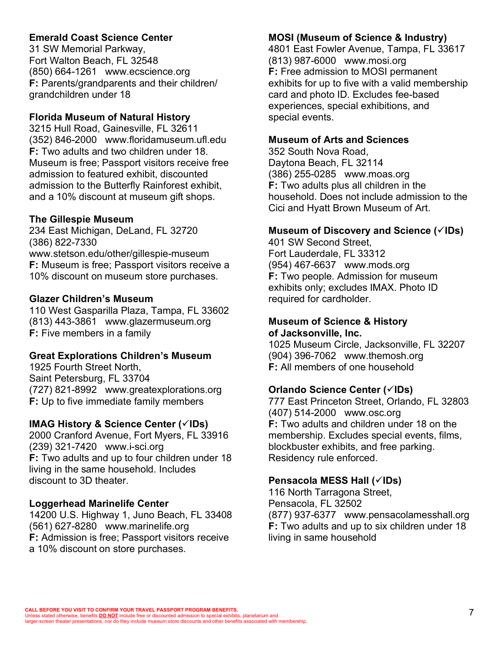# **Emerald Coast Science Center**

31 SW Memorial Parkway, Fort Walton Beach, FL 32548 (850) 664-1261 www.ecscience.org **F:** Parents/grandparents and their children/ grandchildren under 18

## **Florida Museum of Natural History**

3215 Hull Road, Gainesville, FL 32611 (352) 846-2000 www.floridamuseum.ufl.edu **F:** Two adults and two children under 18. Museum is free; Passport visitors receive free admission to featured exhibit, discounted admission to the Butterfly Rainforest exhibit, and a 10% discount at museum gift shops.

## **The Gillespie Museum**

234 East Michigan, DeLand, FL 32720 (386) 822-7330 www.stetson.edu/other/gillespie-museum **F:** Museum is free; Passport visitors receive a 10% discount on museum store purchases.

## **Glazer Children's Museum**

110 West Gasparilla Plaza, Tampa, FL 33602 (813) 443-3861 www.glazermuseum.org **F:** Five members in a family

## **Great Explorations Children's Museum**

1925 Fourth Street North, Saint Petersburg, FL 33704 (727) 821-8992 www.greatexplorations.org **F:** Up to five immediate family members

# **IMAG History & Science Center (√IDs)**

2000 Cranford Avenue, Fort Myers, FL 33916 (239) 321-7420 www.i-sci.org **F:** Two adults and up to four children under 18 living in the same household. Includes discount to 3D theater.

# **Loggerhead Marinelife Center**

14200 U.S. Highway 1, Juno Beach, FL 33408 (561) 627-8280 www.marinelife.org **F:** Admission is free; Passport visitors receive a 10% discount on store purchases.

# **MOSI (Museum of Science & Industry)**

4801 East Fowler Avenue, Tampa, FL 33617 (813) 987-6000 www.mosi.org **F:** Free admission to MOSI permanent exhibits for up to five with a valid membership card and photo ID. Excludes fee-based experiences, special exhibitions, and special events.

# **Museum of Arts and Sciences**

352 South Nova Road, Daytona Beach, FL 32114 (386) 255-0285 www.moas.org **F:** Two adults plus all children in the household. Does not include admission to the Cici and Hyatt Brown Museum of Art.

# **Museum of Discovery and Science (√IDs)**

401 SW Second Street, Fort Lauderdale, FL 33312 (954) 467-6637 www.mods.org **F:** Two people. Admission for museum exhibits only; excludes IMAX. Photo ID required for cardholder.

# **Museum of Science & History of Jacksonville, Inc.**

1025 Museum Circle, Jacksonville, FL 32207 (904) 396-7062 www.themosh.org **F:** All members of one household

# **Orlando Science Center (√IDs)**

777 East Princeton Street, Orlando, FL 32803 (407) 514-2000 www.osc.org **F:** Two adults and children under 18 on the membership. Excludes special events, films, blockbuster exhibits, and free parking. Residency rule enforced.

# **Pensacola MESS Hall (**ü**IDs)**

116 North Tarragona Street, Pensacola, FL 32502 (877) 937-6377 www.pensacolamesshall.org **F:** Two adults and up to six children under 18 living in same household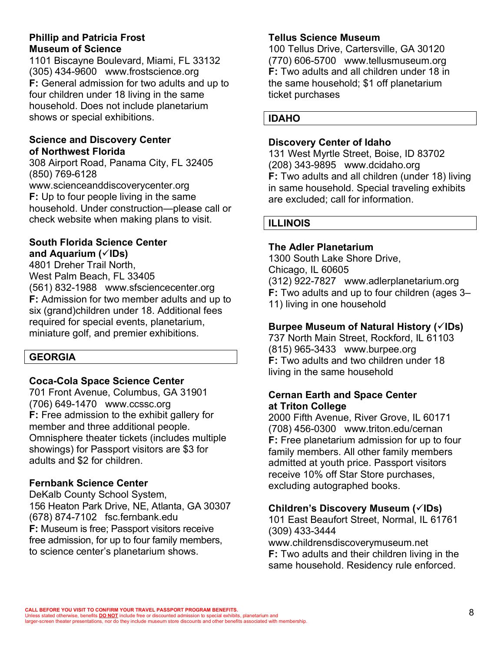#### **Phillip and Patricia Frost Museum of Science**

1101 Biscayne Boulevard, Miami, FL 33132 (305) 434-9600 www.frostscience.org **F:** General admission for two adults and up to four children under 18 living in the same household. Does not include planetarium shows or special exhibitions.

## **Science and Discovery Center of Northwest Florida**

308 Airport Road, Panama City, FL 32405 (850) 769-6128

www.scienceanddiscoverycenter.org **F:** Up to four people living in the same household. Under construction—please call or check website when making plans to visit.

## **South Florida Science Center and Aquarium (**ü**IDs)**

4801 Dreher Trail North, West Palm Beach, FL 33405 (561) 832-1988 www.sfsciencecenter.org **F:** Admission for two member adults and up to six (grand)children under 18. Additional fees required for special events, planetarium, miniature golf, and premier exhibitions.

# **GEORGIA**

## **Coca-Cola Space Science Center**

701 Front Avenue, Columbus, GA 31901 (706) 649-1470 www.ccssc.org **F:** Free admission to the exhibit gallery for member and three additional people. Omnisphere theater tickets (includes multiple showings) for Passport visitors are \$3 for adults and \$2 for children.

# **Fernbank Science Center**

DeKalb County School System, 156 Heaton Park Drive, NE, Atlanta, GA 30307 (678) 874-7102 fsc.fernbank.edu **F:** Museum is free; Passport visitors receive free admission, for up to four family members, to science center's planetarium shows.

## **Tellus Science Museum**

100 Tellus Drive, Cartersville, GA 30120 (770) 606-5700 www.tellusmuseum.org **F:** Two adults and all children under 18 in the same household; \$1 off planetarium ticket purchases

## **Discovery Center of Idaho**

131 West Myrtle Street, Boise, ID 83702 (208) 343-9895 www.dcidaho.org **F:** Two adults and all children (under 18) living in same household. Special traveling exhibits are excluded; call for information.

## **ILLINOIS**

## **The Adler Planetarium**

1300 South Lake Shore Drive, Chicago, IL 60605 (312) 922-7827 www.adlerplanetarium.org **F:** Two adults and up to four children (ages 3– 11) living in one household

# **Burpee Museum of Natural History (**ü**IDs)**

737 North Main Street, Rockford, IL 61103 (815) 965-3433 www.burpee.org **F:** Two adults and two children under 18 living in the same household

## **Cernan Earth and Space Center at Triton College**

2000 Fifth Avenue, River Grove, IL 60171 (708) 456-0300 www.triton.edu/cernan **F:** Free planetarium admission for up to four family members. All other family members admitted at youth price. Passport visitors receive 10% off Star Store purchases, excluding autographed books.

# **Children's Discovery Museum (√IDs)**

101 East Beaufort Street, Normal, IL 61761 (309) 433-3444 www.childrensdiscoverymuseum.net

**F:** Two adults and their children living in the same household. Residency rule enforced.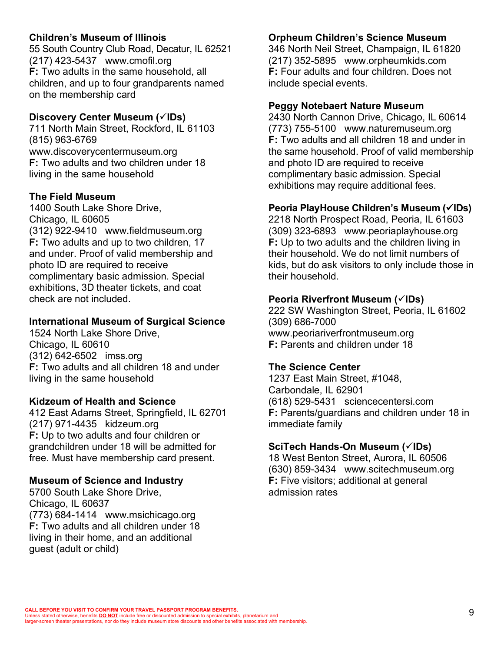## **Children's Museum of Illinois**

55 South Country Club Road, Decatur, IL 62521 (217) 423-5437 www.cmofil.org **F:** Two adults in the same household, all children, and up to four grandparents named on the membership card

#### **Discovery Center Museum (** $\checkmark$ **IDs)**

711 North Main Street, Rockford, IL 61103 (815) 963-6769 www.discoverycentermuseum.org **F:** Two adults and two children under 18 living in the same household

#### **The Field Museum**

1400 South Lake Shore Drive, Chicago, IL 60605 (312) 922-9410 www.fieldmuseum.org **F:** Two adults and up to two children, 17 and under. Proof of valid membership and photo ID are required to receive complimentary basic admission. Special exhibitions, 3D theater tickets, and coat check are not included.

#### **International Museum of Surgical Science**

1524 North Lake Shore Drive, Chicago, IL 60610 (312) 642-6502 imss.org **F:** Two adults and all children 18 and under living in the same household

## **Kidzeum of Health and Science**

412 East Adams Street, Springfield, IL 62701 (217) 971-4435 kidzeum.org **F:** Up to two adults and four children or grandchildren under 18 will be admitted for free. Must have membership card present.

## **Museum of Science and Industry**

5700 South Lake Shore Drive, Chicago, IL 60637 (773) 684-1414 www.msichicago.org **F:** Two adults and all children under 18 living in their home, and an additional guest (adult or child)

#### **Orpheum Children's Science Museum**

346 North Neil Street, Champaign, IL 61820 (217) 352-5895 www.orpheumkids.com **F:** Four adults and four children. Does not include special events.

#### **Peggy Notebaert Nature Museum**

2430 North Cannon Drive, Chicago, IL 60614 (773) 755-5100 www.naturemuseum.org **F:** Two adults and all children 18 and under in the same household. Proof of valid membership and photo ID are required to receive complimentary basic admission. Special exhibitions may require additional fees.

#### **Peoria PlayHouse Children's Museum (**ü**IDs)**

2218 North Prospect Road, Peoria, IL 61603 (309) 323-6893 www.peoriaplayhouse.org **F:** Up to two adults and the children living in their household. We do not limit numbers of kids, but do ask visitors to only include those in their household.

#### **Peoria Riverfront Museum (** $\check{\text{IDS}}$ **)**

222 SW Washington Street, Peoria, IL 61602 (309) 686-7000 www.peoriariverfrontmuseum.org **F:** Parents and children under 18

#### **The Science Center**

1237 East Main Street, #1048, Carbondale, IL 62901 (618) 529-5431 sciencecentersi.com **F:** Parents/guardians and children under 18 in immediate family

#### **SciTech Hands-On Museum (**ü**IDs)**

18 West Benton Street, Aurora, IL 60506 (630) 859-3434 www.scitechmuseum.org **F:** Five visitors; additional at general admission rates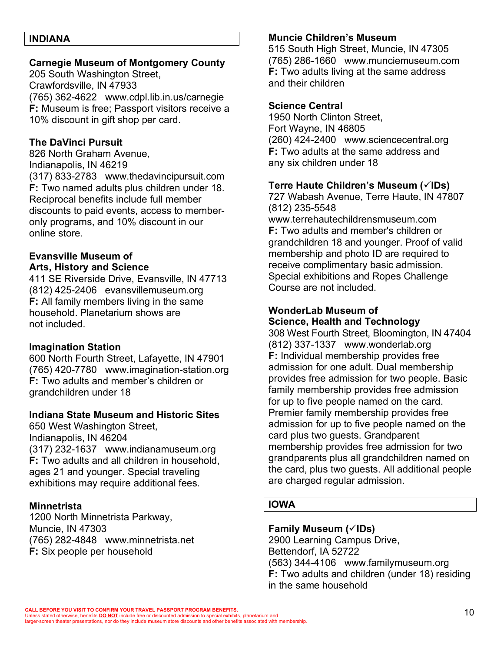#### **INDIANA**

#### **Carnegie Museum of Montgomery County**

205 South Washington Street, Crawfordsville, IN 47933 (765) 362-4622 www.cdpl.lib.in.us/carnegie **F:** Museum is free; Passport visitors receive a 10% discount in gift shop per card.

#### **The DaVinci Pursuit**

826 North Graham Avenue, Indianapolis, IN 46219 (317) 833-2783 www.thedavincipursuit.com **F:** Two named adults plus children under 18. Reciprocal benefits include full member discounts to paid events, access to memberonly programs, and 10% discount in our online store.

## **Evansville Museum of Arts, History and Science**

411 SE Riverside Drive, Evansville, IN 47713 (812) 425-2406 evansvillemuseum.org **F:** All family members living in the same household. Planetarium shows are not included.

#### **Imagination Station**

600 North Fourth Street, Lafayette, IN 47901 (765) 420-7780 www.imagination-station.org **F:** Two adults and member's children or grandchildren under 18

#### **Indiana State Museum and Historic Sites**

650 West Washington Street, Indianapolis, IN 46204 (317) 232-1637 www.indianamuseum.org **F:** Two adults and all children in household, ages 21 and younger. Special traveling exhibitions may require additional fees.

#### **Minnetrista**

1200 North Minnetrista Parkway, Muncie, IN 47303 (765) 282-4848 www.minnetrista.net **F:** Six people per household

#### **Muncie Children's Museum**

515 South High Street, Muncie, IN 47305 (765) 286-1660 www.munciemuseum.com **F:** Two adults living at the same address and their children

#### **Science Central**

1950 North Clinton Street, Fort Wayne, IN 46805 (260) 424-2400 www.sciencecentral.org **F:** Two adults at the same address and any six children under 18

#### **Terre Haute Children's Museum (**ü**IDs)**

727 Wabash Avenue, Terre Haute, IN 47807 (812) 235-5548 www.terrehautechildrensmuseum.com **F:** Two adults and member's children or grandchildren 18 and younger. Proof of valid membership and photo ID are required to receive complimentary basic admission. Special exhibitions and Ropes Challenge Course are not included.

#### **WonderLab Museum of Science, Health and Technology**

308 West Fourth Street, Bloomington, IN 47404 (812) 337-1337 www.wonderlab.org **F:** Individual membership provides free admission for one adult. Dual membership provides free admission for two people. Basic family membership provides free admission for up to five people named on the card. Premier family membership provides free admission for up to five people named on the card plus two guests. Grandparent membership provides free admission for two grandparents plus all grandchildren named on the card, plus two guests. All additional people are charged regular admission.

## **IOWA**

## **Family Museum (**ü**IDs)**

2900 Learning Campus Drive, Bettendorf, IA 52722 (563) 344-4106 www.familymuseum.org **F:** Two adults and children (under 18) residing in the same household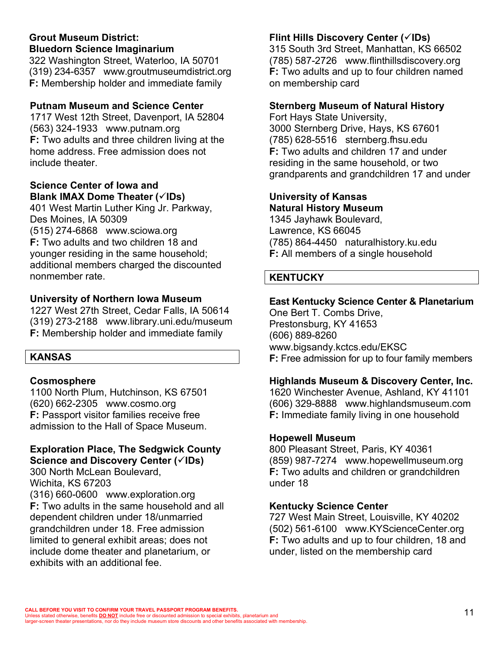## **Grout Museum District: Bluedorn Science Imaginarium**

322 Washington Street, Waterloo, IA 50701 (319) 234-6357 www.groutmuseumdistrict.org **F:** Membership holder and immediate family

## **Putnam Museum and Science Center**

1717 West 12th Street, Davenport, IA 52804 (563) 324-1933 www.putnam.org **F:** Two adults and three children living at the home address. Free admission does not include theater.

#### **Science Center of Iowa and**  Blank **IMAX** Dome Theater ( $\check{\mathsf{S}}$ IDs)

401 West Martin Luther King Jr. Parkway, Des Moines, IA 50309 (515) 274-6868 www.sciowa.org **F:** Two adults and two children 18 and younger residing in the same household; additional members charged the discounted nonmember rate.

# **University of Northern Iowa Museum**

1227 West 27th Street, Cedar Falls, IA 50614 (319) 273-2188 www.library.uni.edu/museum **F:** Membership holder and immediate family

# **KANSAS**

# **Cosmosphere**

1100 North Plum, Hutchinson, KS 67501 (620) 662-2305 www.cosmo.org **F:** Passport visitor families receive free admission to the Hall of Space Museum.

# **Exploration Place, The Sedgwick County Science and Discovery Center (** $\checkmark$ **IDs)**

300 North McLean Boulevard, Wichita, KS 67203 (316) 660-0600 www.exploration.org **F:** Two adults in the same household and all dependent children under 18/unmarried grandchildren under 18. Free admission limited to general exhibit areas; does not include dome theater and planetarium, or exhibits with an additional fee.

# **Flint Hills Discovery Center (** $\check{\text{C}}$ **IDs)**

315 South 3rd Street, Manhattan, KS 66502 (785) 587-2726 www.flinthillsdiscovery.org **F:** Two adults and up to four children named on membership card

# **Sternberg Museum of Natural History**

Fort Hays State University, 3000 Sternberg Drive, Hays, KS 67601 (785) 628-5516 sternberg.fhsu.edu **F:** Two adults and children 17 and under residing in the same household, or two grandparents and grandchildren 17 and under

# **University of Kansas Natural History Museum**

1345 Jayhawk Boulevard, Lawrence, KS 66045 (785) 864-4450 naturalhistory.ku.edu **F:** All members of a single household

# **KENTUCKY**

# **East Kentucky Science Center & Planetarium**

One Bert T. Combs Drive, Prestonsburg, KY 41653 (606) 889-8260 www.bigsandy.kctcs.edu/EKSC **F:** Free admission for up to four family members

# **Highlands Museum & Discovery Center, Inc.**

1620 Winchester Avenue, Ashland, KY 41101 (606) 329-8888 www.highlandsmuseum.com **F:** Immediate family living in one household

# **Hopewell Museum**

800 Pleasant Street, Paris, KY 40361 (859) 987-7274 www.hopewellmuseum.org **F:** Two adults and children or grandchildren under 18

# **Kentucky Science Center**

727 West Main Street, Louisville, KY 40202 (502) 561-6100 www.KYScienceCenter.org **F:** Two adults and up to four children, 18 and under, listed on the membership card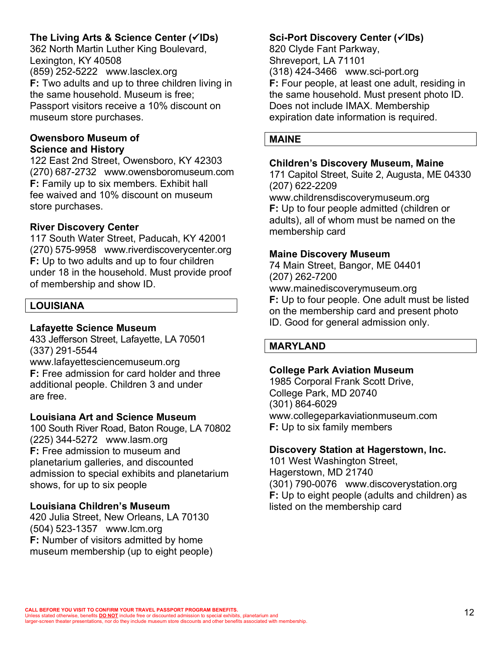# **The Living Arts & Science Center (**ü**IDs)**

362 North Martin Luther King Boulevard, Lexington, KY 40508 (859) 252-5222 www.lasclex.org **F:** Two adults and up to three children living in the same household. Museum is free; Passport visitors receive a 10% discount on museum store purchases.

#### **Owensboro Museum of Science and History**

122 East 2nd Street, Owensboro, KY 42303 (270) 687-2732 www.owensboromuseum.com **F:** Family up to six members. Exhibit hall fee waived and 10% discount on museum store purchases.

## **River Discovery Center**

117 South Water Street, Paducah, KY 42001 (270) 575-9958 www.riverdiscoverycenter.org **F:** Up to two adults and up to four children under 18 in the household. Must provide proof of membership and show ID.

# **LOUISIANA**

## **Lafayette Science Museum**

433 Jefferson Street, Lafayette, LA 70501 (337) 291-5544

www.lafayettesciencemuseum.org **F:** Free admission for card holder and three additional people. Children 3 and under are free.

## **Louisiana Art and Science Museum**

100 South River Road, Baton Rouge, LA 70802 (225) 344-5272 www.lasm.org **F:** Free admission to museum and planetarium galleries, and discounted admission to special exhibits and planetarium shows, for up to six people

# **Louisiana Children's Museum**

420 Julia Street, New Orleans, LA 70130 (504) 523-1357 www.lcm.org **F:** Number of visitors admitted by home museum membership (up to eight people)

# **Sci-Port Discovery Center (√IDs)**

820 Clyde Fant Parkway, Shreveport, LA 71101 (318) 424-3466 www.sci-port.org **F:** Four people, at least one adult, residing in the same household. Must present photo ID. Does not include IMAX. Membership expiration date information is required.

# **MAINE**

#### **Children's Discovery Museum, Maine**

171 Capitol Street, Suite 2, Augusta, ME 04330 (207) 622-2209 www.childrensdiscoverymuseum.org **F:** Up to four people admitted (children or adults), all of whom must be named on the membership card

## **Maine Discovery Museum**

74 Main Street, Bangor, ME 04401 (207) 262-7200 www.mainediscoverymuseum.org **F:** Up to four people. One adult must be listed on the membership card and present photo ID. Good for general admission only.

# **MARYLAND**

## **College Park Aviation Museum**

1985 Corporal Frank Scott Drive, College Park, MD 20740 (301) 864-6029 www.collegeparkaviationmuseum.com **F:** Up to six family members

## **Discovery Station at Hagerstown, Inc.**

101 West Washington Street, Hagerstown, MD 21740 (301) 790-0076 www.discoverystation.org **F:** Up to eight people (adults and children) as listed on the membership card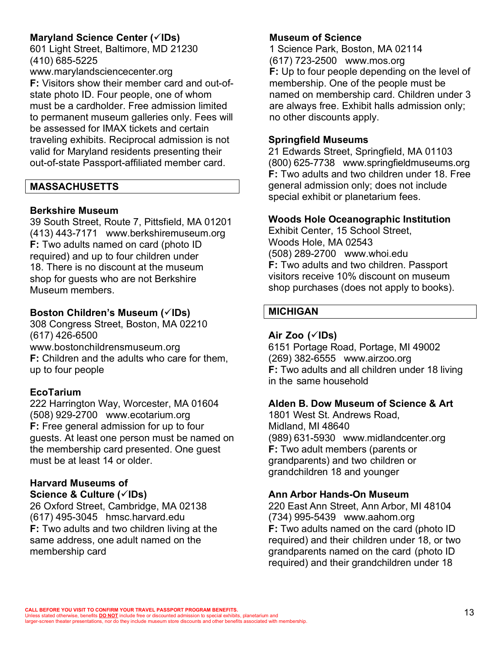# **Maryland Science Center (√IDs)**

601 Light Street, Baltimore, MD 21230 (410) 685-5225

www.marylandsciencecenter.org **F:** Visitors show their member card and out-ofstate photo ID. Four people, one of whom must be a cardholder. Free admission limited to permanent museum galleries only. Fees will be assessed for IMAX tickets and certain traveling exhibits. Reciprocal admission is not valid for Maryland residents presenting their out-of-state Passport-affiliated member card.

## **MASSACHUSETTS**

## **Berkshire Museum**

39 South Street, Route 7, Pittsfield, MA 01201 (413) 443-7171 www.berkshiremuseum.org **F:** Two adults named on card (photo ID required) and up to four children under 18. There is no discount at the museum shop for guests who are not Berkshire Museum members.

## Boston Children's Museum ( $\checkmark$ IDs)

308 Congress Street, Boston, MA 02210 (617) 426-6500 www.bostonchildrensmuseum.org **F:** Children and the adults who care for them, up to four people

## **EcoTarium**

222 Harrington Way, Worcester, MA 01604 (508) 929-2700 www.ecotarium.org **F:** Free general admission for up to four guests. At least one person must be named on the membership card presented. One guest must be at least 14 or older.

# **Harvard Museums of**

**Science & Culture (**ü**IDs)**

26 Oxford Street, Cambridge, MA 02138 (617) 495-3045 hmsc.harvard.edu **F:** Two adults and two children living at the same address, one adult named on the membership card

## **Museum of Science**

1 Science Park, Boston, MA 02114 (617) 723-2500 www.mos.org **F:** Up to four people depending on the level of membership. One of the people must be named on membership card. Children under 3 are always free. Exhibit halls admission only; no other discounts apply.

## **Springfield Museums**

21 Edwards Street, Springfield, MA 01103 (800) 625-7738 www.springfieldmuseums.org **F:** Two adults and two children under 18. Free general admission only; does not include special exhibit or planetarium fees.

#### **Woods Hole Oceanographic Institution**

Exhibit Center, 15 School Street, Woods Hole, MA 02543 (508) 289-2700 www.whoi.edu **F:** Two adults and two children. Passport visitors receive 10% discount on museum shop purchases (does not apply to books).

## **MICHIGAN**

#### **Air Zoo (**ü**IDs)**

6151 Portage Road, Portage, MI 49002 (269) 382-6555 www.airzoo.org **F:** Two adults and all children under 18 living in the same household

#### **Alden B. Dow Museum of Science & Art**

1801 West St. Andrews Road, Midland, MI 48640 (989) 631-5930 www.midlandcenter.org **F:** Two adult members (parents or grandparents) and two children or grandchildren 18 and younger

## **Ann Arbor Hands-On Museum**

220 East Ann Street, Ann Arbor, MI 48104 (734) 995-5439 www.aahom.org **F:** Two adults named on the card (photo ID required) and their children under 18, or two grandparents named on the card (photo ID required) and their grandchildren under 18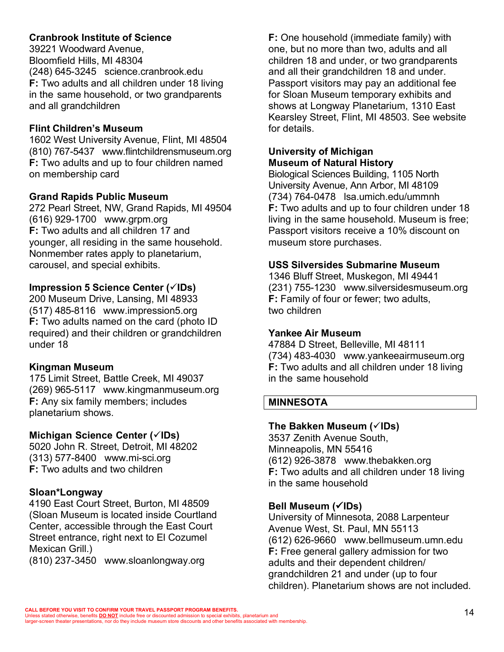# **Cranbrook Institute of Science**

39221 Woodward Avenue, Bloomfield Hills, MI 48304 (248) 645-3245 science.cranbrook.edu **F:** Two adults and all children under 18 living in the same household, or two grandparents and all grandchildren

## **Flint Children's Museum**

1602 West University Avenue, Flint, MI 48504 (810) 767-5437 www.flintchildrensmuseum.org **F:** Two adults and up to four children named on membership card

## **Grand Rapids Public Museum**

272 Pearl Street, NW, Grand Rapids, MI 49504 (616) 929-1700 www.grpm.org **F:** Two adults and all children 17 and younger, all residing in the same household. Nonmember rates apply to planetarium, carousel, and special exhibits.

# **Impression 5 Science Center (√IDs)**

200 Museum Drive, Lansing, MI 48933 (517) 485-8116 www.impression5.org **F:** Two adults named on the card (photo ID required) and their children or grandchildren under 18

## **Kingman Museum**

175 Limit Street, Battle Creek, MI 49037 (269) 965-5117 www.kingmanmuseum.org **F:** Any six family members; includes planetarium shows.

# **Michigan Science Center (√IDs)**

5020 John R. Street, Detroit, MI 48202 (313) 577-8400 www.mi-sci.org **F:** Two adults and two children

# **Sloan\*Longway**

4190 East Court Street, Burton, MI 48509 (Sloan Museum is located inside Courtland Center, accessible through the East Court Street entrance, right next to El Cozumel Mexican Grill.)

(810) 237-3450 www.sloanlongway.org

**F:** One household (immediate family) with one, but no more than two, adults and all children 18 and under, or two grandparents and all their grandchildren 18 and under. Passport visitors may pay an additional fee for Sloan Museum temporary exhibits and shows at Longway Planetarium, 1310 East Kearsley Street, Flint, MI 48503. See website for details.

#### **University of Michigan Museum of Natural History**

Biological Sciences Building, 1105 North University Avenue, Ann Arbor, MI 48109 (734) 764-0478 lsa.umich.edu/ummnh **F:** Two adults and up to four children under 18 living in the same household. Museum is free; Passport visitors receive a 10% discount on museum store purchases.

## **USS Silversides Submarine Museum**

1346 Bluff Street, Muskegon, MI 49441 (231) 755-1230 www.silversidesmuseum.org **F:** Family of four or fewer; two adults, two children

## **Yankee Air Museum**

47884 D Street, Belleville, MI 48111 (734) 483-4030 www.yankeeairmuseum.org **F:** Two adults and all children under 18 living in the same household

## **MINNESOTA**

## **The Bakken Museum (**ü**IDs)**

3537 Zenith Avenue South, Minneapolis, MN 55416 (612) 926-3878 www.thebakken.org **F:** Two adults and all children under 18 living in the same household

# **Bell Museum (**ü**IDs)**

University of Minnesota, 2088 Larpenteur Avenue West, St. Paul, MN 55113 (612) 626-9660 www.bellmuseum.umn.edu **F:** Free general gallery admission for two adults and their dependent children/ grandchildren 21 and under (up to four children). Planetarium shows are not included.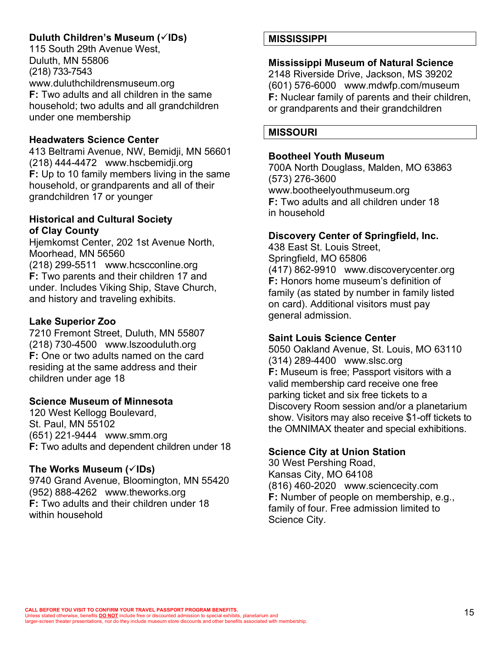# **Duluth Children's Museum (**ü**IDs)**

115 South 29th Avenue West, Duluth, MN 55806 (218) 733-7543 www.duluthchildrensmuseum.org **F:** Two adults and all children in the same household; two adults and all grandchildren under one membership

## **Headwaters Science Center**

413 Beltrami Avenue, NW, Bemidji, MN 56601 (218) 444-4472 www.hscbemidji.org **F:** Up to 10 family members living in the same household, or grandparents and all of their grandchildren 17 or younger

## **Historical and Cultural Society of Clay County**

Hjemkomst Center, 202 1st Avenue North, Moorhead, MN 56560

(218) 299-5511 www.hcscconline.org **F:** Two parents and their children 17 and under. Includes Viking Ship, Stave Church, and history and traveling exhibits.

# **Lake Superior Zoo**

7210 Fremont Street, Duluth, MN 55807 (218) 730-4500 www.lszooduluth.org **F:** One or two adults named on the card residing at the same address and their children under age 18

# **Science Museum of Minnesota**

120 West Kellogg Boulevard, St. Paul, MN 55102 (651) 221-9444 www.smm.org **F:** Two adults and dependent children under 18

## **The Works Museum (**ü**IDs)**

9740 Grand Avenue, Bloomington, MN 55420 (952) 888-4262 www.theworks.org **F:** Two adults and their children under 18 within household

# **MISSISSIPPI**

## **Mississippi Museum of Natural Science**

2148 Riverside Drive, Jackson, MS 39202 (601) 576-6000 www.mdwfp.com/museum **F:** Nuclear family of parents and their children, or grandparents and their grandchildren

## **MISSOURI**

#### **Bootheel Youth Museum**

700A North Douglass, Malden, MO 63863 (573) 276-3600 www.bootheelyouthmuseum.org **F:** Two adults and all children under 18 in household

## **Discovery Center of Springfield, Inc.**

438 East St. Louis Street, Springfield, MO 65806 (417) 862-9910 www.discoverycenter.org **F:** Honors home museum's definition of family (as stated by number in family listed on card). Additional visitors must pay general admission.

## **Saint Louis Science Center**

5050 Oakland Avenue, St. Louis, MO 63110 (314) 289-4400 www.slsc.org **F:** Museum is free; Passport visitors with a valid membership card receive one free parking ticket and six free tickets to a Discovery Room session and/or a planetarium show. Visitors may also receive \$1-off tickets to the OMNIMAX theater and special exhibitions.

# **Science City at Union Station**

30 West Pershing Road, Kansas City, MO 64108 (816) 460-2020 www.sciencecity.com **F:** Number of people on membership, e.g., family of four. Free admission limited to Science City.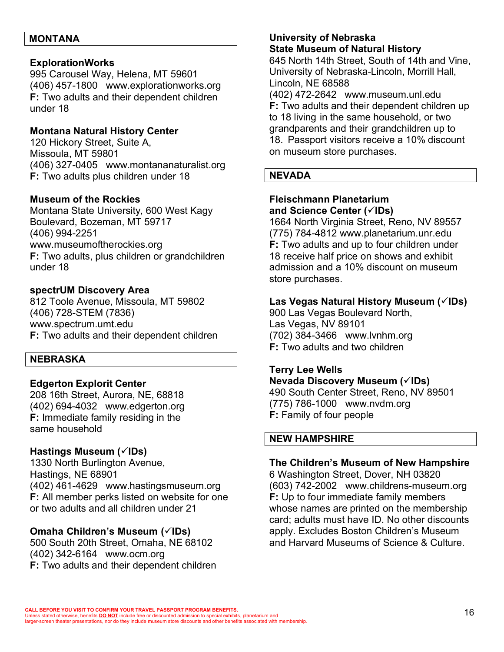#### **MONTANA**

#### **ExplorationWorks**

995 Carousel Way, Helena, MT 59601 (406) 457-1800 www.explorationworks.org **F:** Two adults and their dependent children under 18

## **Montana Natural History Center**

120 Hickory Street, Suite A, Missoula, MT 59801 (406) 327-0405 www.montananaturalist.org **F:** Two adults plus children under 18

#### **Museum of the Rockies**

Montana State University, 600 West Kagy Boulevard, Bozeman, MT 59717 (406) 994-2251 www.museumoftherockies.org **F:** Two adults, plus children or grandchildren under 18

#### **spectrUM Discovery Area**

812 Toole Avenue, Missoula, MT 59802 (406) 728-STEM (7836) www.spectrum.umt.edu **F:** Two adults and their dependent children

#### **NEBRASKA**

#### **Edgerton Explorit Center**

208 16th Street, Aurora, NE, 68818 (402) 694-4032 www.edgerton.org **F:** Immediate family residing in the same household

## **Hastings Museum (√IDs)**

1330 North Burlington Avenue, Hastings, NE 68901 (402) 461-4629 www.hastingsmuseum.org **F:** All member perks listed on website for one or two adults and all children under 21

#### **Omaha Children's Museum (**ü**IDs)**

500 South 20th Street, Omaha, NE 68102 (402) 342-6164 www.ocm.org **F:** Two adults and their dependent children

#### **University of Nebraska State Museum of Natural History**

645 North 14th Street, South of 14th and Vine, University of Nebraska-Lincoln, Morrill Hall, Lincoln, NE 68588

(402) 472-2642 www.museum.unl.edu **F:** Two adults and their dependent children up to 18 living in the same household, or two grandparents and their grandchildren up to 18. Passport visitors receive a 10% discount on museum store purchases.

## **NEVADA**

#### **Fleischmann Planetarium and Science Center (**ü**IDs)**

1664 North Virginia Street, Reno, NV 89557 (775) 784-4812 www.planetarium.unr.edu **F:** Two adults and up to four children under 18 receive half price on shows and exhibit admission and a 10% discount on museum store purchases.

#### **Las Vegas Natural History Museum (√IDs)**

900 Las Vegas Boulevard North, Las Vegas, NV 89101 (702) 384-3466 www.lvnhm.org **F:** Two adults and two children

## **Terry Lee Wells**

**Nevada Discovery Museum (**ü**IDs)** 490 South Center Street, Reno, NV 89501 (775) 786-1000 www.nvdm.org **F:** Family of four people

#### **NEW HAMPSHIRE**

#### **The Children's Museum of New Hampshire**

6 Washington Street, Dover, NH 03820 (603) 742-2002 www.childrens-museum.org **F:** Up to four immediate family members whose names are printed on the membership card; adults must have ID. No other discounts apply. Excludes Boston Children's Museum and Harvard Museums of Science & Culture.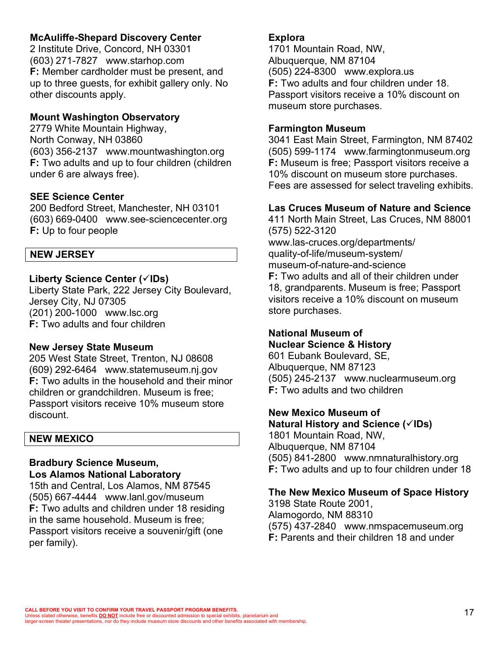## **McAuliffe-Shepard Discovery Center**

2 Institute Drive, Concord, NH 03301 (603) 271-7827 www.starhop.com **F:** Member cardholder must be present, and up to three guests, for exhibit gallery only. No other discounts apply.

## **Mount Washington Observatory**

2779 White Mountain Highway, North Conway, NH 03860 (603) 356-2137 www.mountwashington.org **F:** Two adults and up to four children (children under 6 are always free).

## **SEE Science Center**

200 Bedford Street, Manchester, NH 03101 (603) 669-0400 www.see-sciencecenter.org **F:** Up to four people

## **NEW JERSEY**

## **Liberty Science Center (√IDs)**

Liberty State Park, 222 Jersey City Boulevard, Jersey City, NJ 07305 (201) 200-1000 www.lsc.org **F:** Two adults and four children

## **New Jersey State Museum**

205 West State Street, Trenton, NJ 08608 (609) 292-6464 www.statemuseum.nj.gov **F:** Two adults in the household and their minor children or grandchildren. Museum is free; Passport visitors receive 10% museum store discount.

## **NEW MEXICO**

#### **Bradbury Science Museum, Los Alamos National Laboratory**

15th and Central, Los Alamos, NM 87545 (505) 667-4444 www.lanl.gov/museum **F:** Two adults and children under 18 residing in the same household. Museum is free; Passport visitors receive a souvenir/gift (one per family).

## **Explora**

1701 Mountain Road, NW, Albuquerque, NM 87104 (505) 224-8300 www.explora.us **F:** Two adults and four children under 18. Passport visitors receive a 10% discount on museum store purchases.

#### **Farmington Museum**

3041 East Main Street, Farmington, NM 87402 (505) 599-1174 www.farmingtonmuseum.org **F:** Museum is free; Passport visitors receive a 10% discount on museum store purchases. Fees are assessed for select traveling exhibits.

#### **Las Cruces Museum of Nature and Science**

411 North Main Street, Las Cruces, NM 88001 (575) 522-3120 www.las-cruces.org/departments/ quality-of-life/museum-system/ museum-of-nature-and-science **F:** Two adults and all of their children under 18, grandparents. Museum is free; Passport visitors receive a 10% discount on museum store purchases.

## **National Museum of Nuclear Science & History**

601 Eubank Boulevard, SE, Albuquerque, NM 87123 (505) 245-2137 www.nuclearmuseum.org **F:** Two adults and two children

**New Mexico Museum of Natural History and Science (**ü**IDs)**

1801 Mountain Road, NW, Albuquerque, NM 87104 (505) 841-2800 www.nmnaturalhistory.org **F:** Two adults and up to four children under 18

## **The New Mexico Museum of Space History**

3198 State Route 2001, Alamogordo, NM 88310 (575) 437-2840 www.nmspacemuseum.org **F:** Parents and their children 18 and under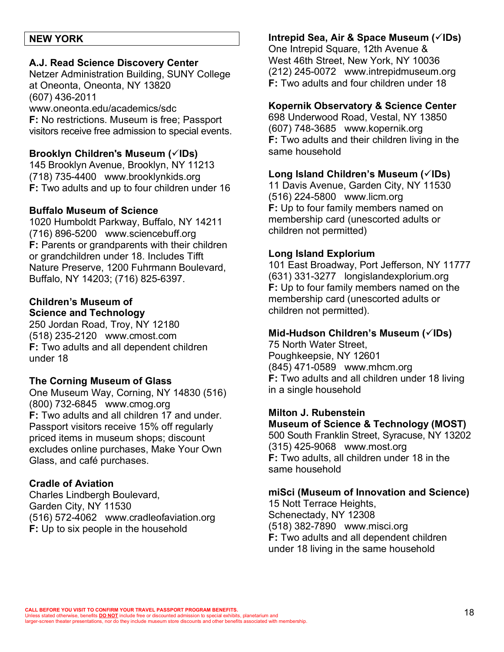#### **NEW YORK**

#### **A.J. Read Science Discovery Center**

Netzer Administration Building, SUNY College at Oneonta, Oneonta, NY 13820 (607) 436-2011 www.oneonta.edu/academics/sdc **F:** No restrictions. Museum is free; Passport visitors receive free admission to special events.

#### **Brooklyn Children's Museum (**ü**IDs)**

145 Brooklyn Avenue, Brooklyn, NY 11213 (718) 735-4400 www.brooklynkids.org **F:** Two adults and up to four children under 16

#### **Buffalo Museum of Science**

1020 Humboldt Parkway, Buffalo, NY 14211 (716) 896-5200 www.sciencebuff.org **F:** Parents or grandparents with their children or grandchildren under 18. Includes Tifft Nature Preserve, 1200 Fuhrmann Boulevard, Buffalo, NY 14203; (716) 825-6397.

## **Children's Museum of Science and Technology**

250 Jordan Road, Troy, NY 12180 (518) 235-2120 www.cmost.com **F:** Two adults and all dependent children under 18

## **The Corning Museum of Glass**

One Museum Way, Corning, NY 14830 (516) (800) 732-6845 www.cmog.org **F:** Two adults and all children 17 and under. Passport visitors receive 15% off regularly priced items in museum shops; discount excludes online purchases, Make Your Own Glass, and café purchases.

## **Cradle of Aviation**

Charles Lindbergh Boulevard, Garden City, NY 11530 (516) 572-4062 www.cradleofaviation.org **F:** Up to six people in the household

# **Intrepid Sea, Air & Space Museum (**ü**IDs)**

One Intrepid Square, 12th Avenue & West 46th Street, New York, NY 10036 (212) 245-0072 www.intrepidmuseum.org **F:** Two adults and four children under 18

#### **Kopernik Observatory & Science Center**

698 Underwood Road, Vestal, NY 13850 (607) 748-3685 www.kopernik.org **F:** Two adults and their children living in the same household

#### **Long Island Children's Museum (√IDs)**

11 Davis Avenue, Garden City, NY 11530 (516) 224-5800 www.licm.org **F:** Up to four family members named on membership card (unescorted adults or children not permitted)

## **Long Island Explorium**

101 East Broadway, Port Jefferson, NY 11777 (631) 331-3277 longislandexplorium.org **F:** Up to four family members named on the membership card (unescorted adults or children not permitted).

## **Mid-Hudson Children's Museum (√IDs)**

75 North Water Street, Poughkeepsie, NY 12601 (845) 471-0589 www.mhcm.org **F:** Two adults and all children under 18 living in a single household

#### **Milton J. Rubenstein**

# **Museum of Science & Technology (MOST)**

500 South Franklin Street, Syracuse, NY 13202 (315) 425-9068 www.most.org **F:** Two adults, all children under 18 in the same household

## **miSci (Museum of Innovation and Science)**

15 Nott Terrace Heights, Schenectady, NY 12308 (518) 382-7890 www.misci.org **F:** Two adults and all dependent children under 18 living in the same household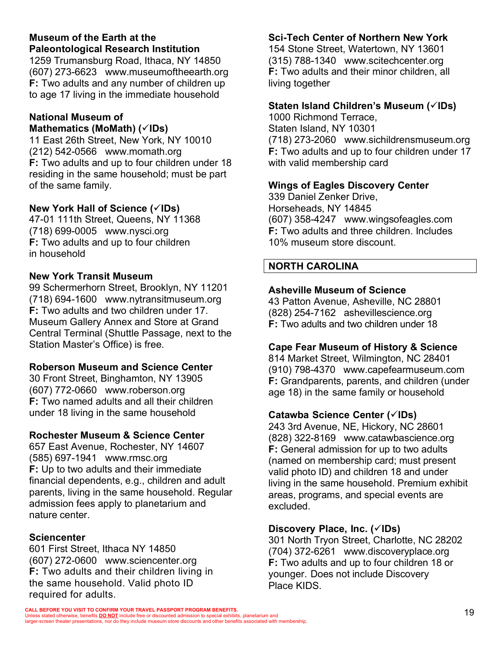# **Museum of the Earth at the Paleontological Research Institution**

1259 Trumansburg Road, Ithaca, NY 14850 (607) 273-6623 www.museumoftheearth.org **F:** Two adults and any number of children up to age 17 living in the immediate household

#### **National Museum of Mathematics (MoMath) (√IDs)**

11 East 26th Street, New York, NY 10010 (212) 542-0566 www.momath.org **F:** Two adults and up to four children under 18 residing in the same household; must be part of the same family.

# **New York Hall of Science (**ü**IDs)**

47-01 111th Street, Queens, NY 11368 (718) 699-0005 www.nysci.org **F:** Two adults and up to four children in household

## **New York Transit Museum**

99 Schermerhorn Street, Brooklyn, NY 11201 (718) 694-1600 www.nytransitmuseum.org **F:** Two adults and two children under 17. Museum Gallery Annex and Store at Grand Central Terminal (Shuttle Passage, next to the Station Master's Office) is free.

# **Roberson Museum and Science Center**

30 Front Street, Binghamton, NY 13905 (607) 772-0660 www.roberson.org **F:** Two named adults and all their children under 18 living in the same household

## **Rochester Museum & Science Center**

657 East Avenue, Rochester, NY 14607 (585) 697-1941 www.rmsc.org **F:** Up to two adults and their immediate financial dependents, e.g., children and adult parents, living in the same household. Regular admission fees apply to planetarium and nature center.

# **Sciencenter**

601 First Street, Ithaca NY 14850 (607) 272-0600 www.sciencenter.org **F:** Two adults and their children living in the same household. Valid photo ID required for adults.

# **Sci-Tech Center of Northern New York**

154 Stone Street, Watertown, NY 13601 (315) 788-1340 www.scitechcenter.org **F:** Two adults and their minor children, all living together

# **Staten Island Children's Museum (**ü**IDs)**

1000 Richmond Terrace, Staten Island, NY 10301 (718) 273-2060 www.sichildrensmuseum.org **F:** Two adults and up to four children under 17 with valid membership card

# **Wings of Eagles Discovery Center**

339 Daniel Zenker Drive, Horseheads, NY 14845 (607) 358-4247 www.wingsofeagles.com **F:** Two adults and three children. Includes 10% museum store discount.

# **NORTH CAROLINA**

## **Asheville Museum of Science**

43 Patton Avenue, Asheville, NC 28801 (828) 254-7162 ashevillescience.org **F:** Two adults and two children under 18

## **Cape Fear Museum of History & Science**

814 Market Street, Wilmington, NC 28401 (910) 798-4370 www.capefearmuseum.com **F:** Grandparents, parents, and children (under age 18) in the same family or household

## **Catawba Science Center (**ü**IDs)**

243 3rd Avenue, NE, Hickory, NC 28601 (828) 322-8169 www.catawbascience.org **F:** General admission for up to two adults (named on membership card; must present valid photo ID) and children 18 and under living in the same household. Premium exhibit areas, programs, and special events are excluded.

## **Discovery Place, Inc. (**ü**IDs)**

301 North Tryon Street, Charlotte, NC 28202 (704) 372-6261 www.discoveryplace.org **F:** Two adults and up to four children 18 or younger. Does not include Discovery Place KIDS.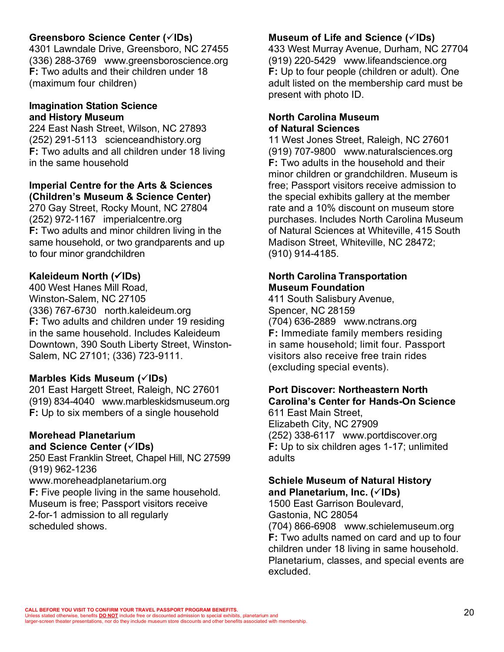## **Greensboro Science Center (**ü**IDs)**

4301 Lawndale Drive, Greensboro, NC 27455 (336) 288-3769 www.greensboroscience.org **F:** Two adults and their children under 18 (maximum four children)

#### **Imagination Station Science and History Museum**

224 East Nash Street, Wilson, NC 27893 (252) 291-5113 scienceandhistory.org **F:** Two adults and all children under 18 living in the same household

## **Imperial Centre for the Arts & Sciences (Children's Museum & Science Center)**

270 Gay Street, Rocky Mount, NC 27804 (252) 972-1167 imperialcentre.org **F:** Two adults and minor children living in the same household, or two grandparents and up to four minor grandchildren

# **Kaleideum North (√IDs)**

400 West Hanes Mill Road, Winston-Salem, NC 27105 (336) 767-6730 north.kaleideum.org **F:** Two adults and children under 19 residing in the same household. Includes Kaleideum Downtown, 390 South Liberty Street, Winston-Salem, NC 27101; (336) 723-9111.

# **Marbles Kids Museum (√IDs)**

201 East Hargett Street, Raleigh, NC 27601 (919) 834-4040 www.marbleskidsmuseum.org **F:** Up to six members of a single household

# **Morehead Planetarium**

#### **and Science Center (**ü**IDs)**

250 East Franklin Street, Chapel Hill, NC 27599 (919) 962-1236 www.moreheadplanetarium.org **F:** Five people living in the same household. Museum is free; Passport visitors receive 2-for-1 admission to all regularly scheduled shows.

# **Museum of Life and Science (**ü**IDs)**

433 West Murray Avenue, Durham, NC 27704 (919) 220-5429 www.lifeandscience.org **F:** Up to four people (children or adult). One adult listed on the membership card must be present with photo ID.

## **North Carolina Museum of Natural Sciences**

11 West Jones Street, Raleigh, NC 27601 (919) 707-9800 www.naturalsciences.org **F:** Two adults in the household and their minor children or grandchildren. Museum is free; Passport visitors receive admission to the special exhibits gallery at the member rate and a 10% discount on museum store purchases. Includes North Carolina Museum of Natural Sciences at Whiteville, 415 South Madison Street, Whiteville, NC 28472; (910) 914-4185.

## **North Carolina Transportation Museum Foundation**

411 South Salisbury Avenue, Spencer, NC 28159 (704) 636-2889 www.nctrans.org **F:** Immediate family members residing in same household; limit four. Passport visitors also receive free train rides (excluding special events).

# **Port Discover: Northeastern North Carolina's Center for Hands-On Science**

611 East Main Street, Elizabeth City, NC 27909 (252) 338-6117 www.portdiscover.org **F:** Up to six children ages 1-17; unlimited adults

## **Schiele Museum of Natural History and Planetarium, Inc. (**ü**IDs)**

1500 East Garrison Boulevard, Gastonia, NC 28054 (704) 866-6908 www.schielemuseum.org **F:** Two adults named on card and up to four children under 18 living in same household. Planetarium, classes, and special events are excluded.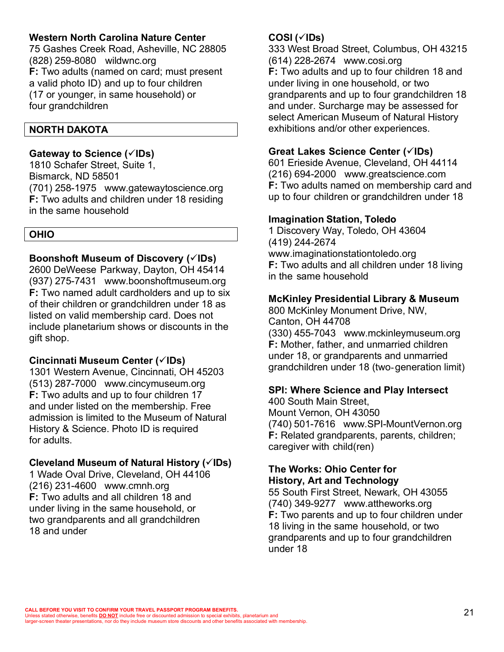## **Western North Carolina Nature Center**

75 Gashes Creek Road, Asheville, NC 28805 (828) 259-8080 wildwnc.org **F:** Two adults (named on card; must present a valid photo ID) and up to four children (17 or younger, in same household) or four grandchildren

#### **NORTH DAKOTA**

#### **Gateway to Science (**ü**IDs)**

1810 Schafer Street, Suite 1, Bismarck, ND 58501 (701) 258-1975 www.gatewaytoscience.org **F:** Two adults and children under 18 residing in the same household

**OHIO**

## **Boonshoft Museum of Discovery (** $\check{\mathsf{V}}$ **IDs)**

2600 DeWeese Parkway, Dayton, OH 45414 (937) 275-7431 www.boonshoftmuseum.org **F:** Two named adult cardholders and up to six of their children or grandchildren under 18 as listed on valid membership card. Does not include planetarium shows or discounts in the gift shop.

## **Cincinnati Museum Center (**ü**IDs)**

1301 Western Avenue, Cincinnati, OH 45203 (513) 287-7000 www.cincymuseum.org **F:** Two adults and up to four children 17 and under listed on the membership. Free admission is limited to the Museum of Natural History & Science. Photo ID is required for adults.

## **Cleveland Museum of Natural History (√IDs)**

1 Wade Oval Drive, Cleveland, OH 44106 (216) 231-4600 www.cmnh.org **F:** Two adults and all children 18 and under living in the same household, or two grandparents and all grandchildren 18 and under

## **COSI (**ü**IDs)**

333 West Broad Street, Columbus, OH 43215 (614) 228-2674 www.cosi.org **F:** Two adults and up to four children 18 and under living in one household, or two grandparents and up to four grandchildren 18 and under. Surcharge may be assessed for select American Museum of Natural History exhibitions and/or other experiences.

## **Great Lakes Science Center (**ü**IDs)**

601 Erieside Avenue, Cleveland, OH 44114 (216) 694-2000 www.greatscience.com **F:** Two adults named on membership card and up to four children or grandchildren under 18

## **Imagination Station, Toledo**

1 Discovery Way, Toledo, OH 43604 (419) 244-2674 www.imaginationstationtoledo.org **F:** Two adults and all children under 18 living in the same household

## **McKinley Presidential Library & Museum**

800 McKinley Monument Drive, NW, Canton, OH 44708 (330) 455-7043 www.mckinleymuseum.org **F:** Mother, father, and unmarried children under 18, or grandparents and unmarried grandchildren under 18 (two-generation limit)

## **SPI: Where Science and Play Intersect**

400 South Main Street, Mount Vernon, OH 43050 (740) 501-7616 www.SPI-MountVernon.org **F:** Related grandparents, parents, children; caregiver with child(ren)

## **The Works: Ohio Center for History, Art and Technology**

55 South First Street, Newark, OH 43055 (740) 349-9277 www.attheworks.org **F:** Two parents and up to four children under 18 living in the same household, or two grandparents and up to four grandchildren under 18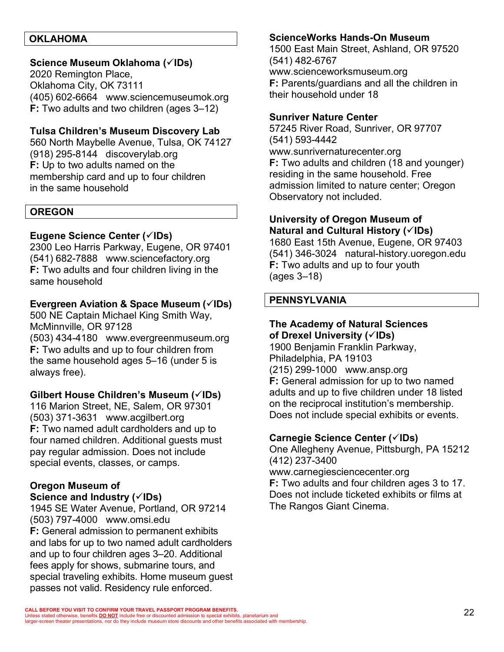#### **OKLAHOMA**

## **Science Museum Oklahoma (**ü**IDs)**

2020 Remington Place, Oklahoma City, OK 73111 (405) 602-6664 www.sciencemuseumok.org **F:** Two adults and two children (ages 3–12)

#### **Tulsa Children's Museum Discovery Lab**

560 North Maybelle Avenue, Tulsa, OK 74127 (918) 295-8144 discoverylab.org **F:** Up to two adults named on the membership card and up to four children in the same household

#### **OREGON**

#### **Eugene Science Center (√IDs)**

2300 Leo Harris Parkway, Eugene, OR 97401 (541) 682-7888 www.sciencefactory.org **F:** Two adults and four children living in the same household

#### **Evergreen Aviation & Space Museum (√IDs)**

500 NE Captain Michael King Smith Way, McMinnville, OR 97128

(503) 434-4180 www.evergreenmuseum.org **F:** Two adults and up to four children from the same household ages 5–16 (under 5 is always free).

#### **Gilbert House Children's Museum (**ü**IDs)**

116 Marion Street, NE, Salem, OR 97301 (503) 371-3631 www.acgilbert.org **F:** Two named adult cardholders and up to four named children. Additional guests must pay regular admission. Does not include special events, classes, or camps.

#### **Oregon Museum of**

**Science and Industry (**ü**IDs)**

1945 SE Water Avenue, Portland, OR 97214 (503) 797-4000 www.omsi.edu **F:** General admission to permanent exhibits and labs for up to two named adult cardholders and up to four children ages 3–20. Additional fees apply for shows, submarine tours, and special traveling exhibits. Home museum guest passes not valid. Residency rule enforced.

#### **ScienceWorks Hands-On Museum**

1500 East Main Street, Ashland, OR 97520 (541) 482-6767 www.scienceworksmuseum.org **F:** Parents/guardians and all the children in their household under 18

#### **Sunriver Nature Center**

57245 River Road, Sunriver, OR 97707 (541) 593-4442 www.sunrivernaturecenter.org **F:** Two adults and children (18 and younger) residing in the same household. Free admission limited to nature center; Oregon Observatory not included.

## **University of Oregon Museum of Natural and Cultural History (** $\check{\text{C}}$ **IDs)**

1680 East 15th Avenue, Eugene, OR 97403 (541) 346-3024 natural-history.uoregon.edu **F:** Two adults and up to four youth (ages 3–18)

#### **PENNSYLVANIA**

#### **The Academy of Natural Sciences of Drexel University (√IDs)**

1900 Benjamin Franklin Parkway, Philadelphia, PA 19103 (215) 299-1000 www.ansp.org **F:** General admission for up to two named adults and up to five children under 18 listed on the reciprocal institution's membership. Does not include special exhibits or events.

#### **Carnegie Science Center (**ü**IDs)**

One Allegheny Avenue, Pittsburgh, PA 15212 (412) 237-3400

www.carnegiesciencecenter.org **F:** Two adults and four children ages 3 to 17. Does not include ticketed exhibits or films at

The Rangos Giant Cinema.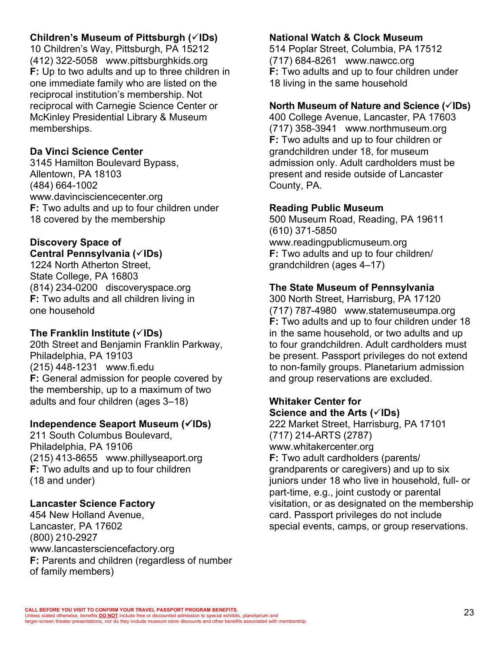# **Children's Museum of Pittsburgh (√IDs)**

10 Children's Way, Pittsburgh, PA 15212 (412) 322-5058 www.pittsburghkids.org **F:** Up to two adults and up to three children in one immediate family who are listed on the reciprocal institution's membership. Not reciprocal with Carnegie Science Center or McKinley Presidential Library & Museum memberships.

# **Da Vinci Science Center**

3145 Hamilton Boulevard Bypass, Allentown, PA 18103 (484) 664-1002 www.davincisciencecenter.org **F:** Two adults and up to four children under 18 covered by the membership

#### **Discovery Space of Central Pennsylvania (**ü**IDs)**

1224 North Atherton Street, State College, PA 16803 (814) 234-0200 discoveryspace.org **F:** Two adults and all children living in one household

## **The Franklin Institute (**ü**IDs)**

20th Street and Benjamin Franklin Parkway, Philadelphia, PA 19103 (215) 448-1231 www.fi.edu **F:** General admission for people covered by the membership, up to a maximum of two adults and four children (ages 3–18)

# **Independence Seaport Museum (√IDs)**

211 South Columbus Boulevard, Philadelphia, PA 19106 (215) 413-8655 www.phillyseaport.org **F:** Two adults and up to four children (18 and under)

# **Lancaster Science Factory**

454 New Holland Avenue, Lancaster, PA 17602 (800) 210-2927 www.lancastersciencefactory.org **F:** Parents and children (regardless of number of family members)

## **National Watch & Clock Museum**

514 Poplar Street, Columbia, PA 17512 (717) 684-8261 www.nawcc.org **F:** Two adults and up to four children under 18 living in the same household

## **North Museum of Nature and Science (√IDs)**

400 College Avenue, Lancaster, PA 17603 (717) 358-3941 www.northmuseum.org **F:** Two adults and up to four children or grandchildren under 18, for museum admission only. Adult cardholders must be present and reside outside of Lancaster County, PA.

## **Reading Public Museum**

500 Museum Road, Reading, PA 19611 (610) 371-5850 www.readingpublicmuseum.org **F:** Two adults and up to four children/ grandchildren (ages 4–17)

# **The State Museum of Pennsylvania**

300 North Street, Harrisburg, PA 17120 (717) 787-4980 www.statemuseumpa.org **F:** Two adults and up to four children under 18 in the same household, or two adults and up to four grandchildren. Adult cardholders must be present. Passport privileges do not extend to non-family groups. Planetarium admission and group reservations are excluded.

## **Whitaker Center for Science and the Arts (**ü**IDs)**

222 Market Street, Harrisburg, PA 17101 (717) 214-ARTS (2787) www.whitakercenter.org **F:** Two adult cardholders (parents/ grandparents or caregivers) and up to six juniors under 18 who live in household, full- or part-time, e.g., joint custody or parental visitation, or as designated on the membership card. Passport privileges do not include special events, camps, or group reservations.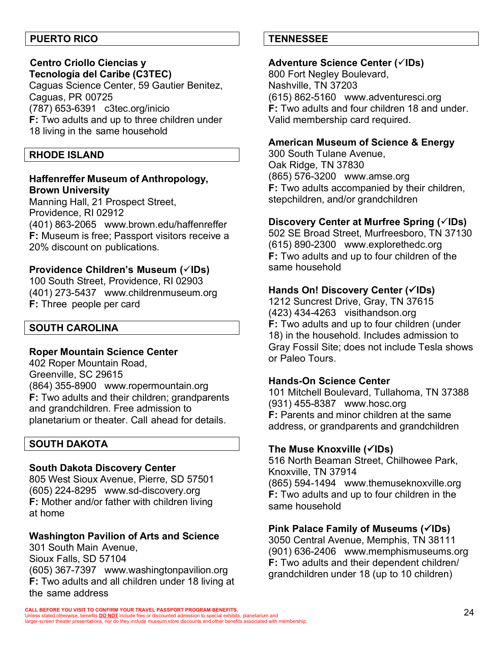## **PUERTO RICO**

# **Centro Criollo Ciencias y**

**Tecnología del Caribe (C3TEC)** Caguas Science Center, 59 Gautier Benitez, Caguas, PR 00725 (787) 653-6391 c3tec.org/inicio **F:** Two adults and up to three children under 18 living in the same household

#### **RHODE ISLAND**

## **Haffenreffer Museum of Anthropology, Brown University**

Manning Hall, 21 Prospect Street, Providence, RI 02912 (401) 863-2065 www.brown.edu/haffenreffer **F:** Museum is free; Passport visitors receive a 20% discount on publications.

#### **Providence Children's Museum (** $\checkmark$ **IDs)**

100 South Street, Providence, RI 02903 (401) 273-5437 www.childrenmuseum.org **F:** Three people per card

## **SOUTH CAROLINA**

#### **Roper Mountain Science Center**

402 Roper Mountain Road, Greenville, SC 29615 (864) 355-8900 www.ropermountain.org **F:** Two adults and their children; grandparents and grandchildren. Free admission to planetarium or theater. Call ahead for details.

## **SOUTH DAKOTA**

#### **South Dakota Discovery Center**

805 West Sioux Avenue, Pierre, SD 57501 (605) 224-8295 www.sd-discovery.org **F:** Mother and/or father with children living at home

## **Washington Pavilion of Arts and Science**

301 South Main Avenue, Sioux Falls, SD 57104 (605) 367-7397 www.washingtonpavilion.org **F:** Two adults and all children under 18 living at the same address

## **TENNESSEE**

#### **Adventure Science Center (√IDs)**

800 Fort Negley Boulevard, Nashville, TN 37203 (615) 862-5160 www.adventuresci.org **F:** Two adults and four children 18 and under. Valid membership card required.

#### **American Museum of Science & Energy**

300 South Tulane Avenue, Oak Ridge, TN 37830 (865) 576-3200 www.amse.org **F:** Two adults accompanied by their children, stepchildren, and/or grandchildren

#### **Discovery Center at Murfree Spring (√IDs)**

502 SE Broad Street, Murfreesboro, TN 37130 (615) 890-2300 www.explorethedc.org **F:** Two adults and up to four children of the same household

## **Hands On! Discovery Center (√IDs)**

1212 Suncrest Drive, Gray, TN 37615 (423) 434-4263 visithandson.org **F:** Two adults and up to four children (under 18) in the household. Includes admission to Gray Fossil Site; does not include Tesla shows or Paleo Tours.

#### **Hands-On Science Center**

101 Mitchell Boulevard, Tullahoma, TN 37388 (931) 455-8387 www.hosc.org **F:** Parents and minor children at the same address, or grandparents and grandchildren

#### **The Muse Knoxville (**ü**IDs)**

516 North Beaman Street, Chilhowee Park, Knoxville, TN 37914 (865) 594-1494 www.themuseknoxville.org **F:** Two adults and up to four children in the same household

## **Pink Palace Family of Museums (**ü**IDs)**

3050 Central Avenue, Memphis, TN 38111 (901) 636-2406 www.memphismuseums.org **F:** Two adults and their dependent children/ grandchildren under 18 (up to 10 children)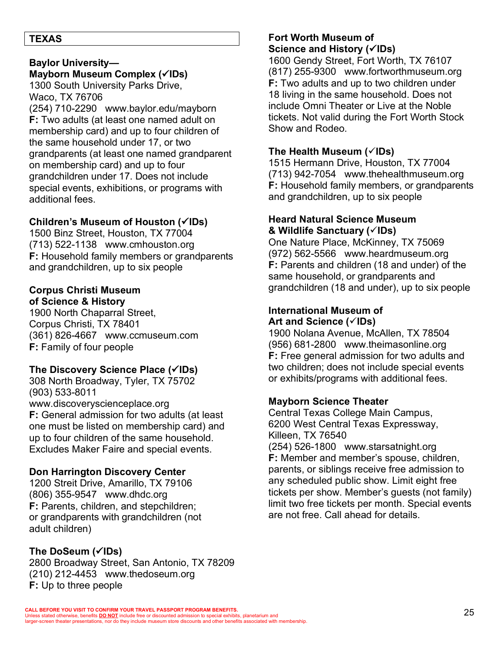## **TEXAS**

# **Baylor University— Mayborn Museum Complex (√IDs)**

1300 South University Parks Drive, Waco, TX 76706 (254) 710-2290 www.baylor.edu/mayborn **F:** Two adults (at least one named adult on membership card) and up to four children of the same household under 17, or two grandparents (at least one named grandparent on membership card) and up to four grandchildren under 17. Does not include special events, exhibitions, or programs with additional fees.

# **Children's Museum of Houston (√IDs)**

1500 Binz Street, Houston, TX 77004 (713) 522-1138 www.cmhouston.org **F:** Household family members or grandparents and grandchildren, up to six people

#### **Corpus Christi Museum of Science & History**

1900 North Chaparral Street, Corpus Christi, TX 78401 (361) 826-4667 www.ccmuseum.com **F:** Family of four people

# **The Discovery Science Place (**ü**IDs)**

308 North Broadway, Tyler, TX 75702 (903) 533-8011 www.discoveryscienceplace.org **F:** General admission for two adults (at least one must be listed on membership card) and up to four children of the same household. Excludes Maker Faire and special events.

# **Don Harrington Discovery Center**

1200 Streit Drive, Amarillo, TX 79106 (806) 355-9547 www.dhdc.org **F:** Parents, children, and stepchildren; or grandparents with grandchildren (not adult children)

# **The DoSeum (**ü**IDs)**

2800 Broadway Street, San Antonio, TX 78209 (210) 212-4453 www.thedoseum.org **F:** Up to three people

## **Fort Worth Museum of Science and History (√IDs)**

1600 Gendy Street, Fort Worth, TX 76107 (817) 255-9300 www.fortworthmuseum.org **F:** Two adults and up to two children under 18 living in the same household. Does not include Omni Theater or Live at the Noble tickets. Not valid during the Fort Worth Stock Show and Rodeo.

# **The Health Museum (**ü**IDs)**

1515 Hermann Drive, Houston, TX 77004 (713) 942-7054 www.thehealthmuseum.org **F:** Household family members, or grandparents and grandchildren, up to six people

## **Heard Natural Science Museum & Wildlife Sanctuary (**ü**IDs)**

One Nature Place, McKinney, TX 75069 (972) 562-5566 www.heardmuseum.org **F:** Parents and children (18 and under) of the same household, or grandparents and grandchildren (18 and under), up to six people

# **International Museum of Art and Science (**ü**IDs)**

1900 Nolana Avenue, McAllen, TX 78504 (956) 681-2800 www.theimasonline.org **F:** Free general admission for two adults and two children; does not include special events or exhibits/programs with additional fees.

# **Mayborn Science Theater**

Central Texas College Main Campus, 6200 West Central Texas Expressway, Killeen, TX 76540 (254) 526-1800 www.starsatnight.org **F:** Member and member's spouse, children, parents, or siblings receive free admission to any scheduled public show. Limit eight free tickets per show. Member's guests (not family) limit two free tickets per month. Special events are not free. Call ahead for details.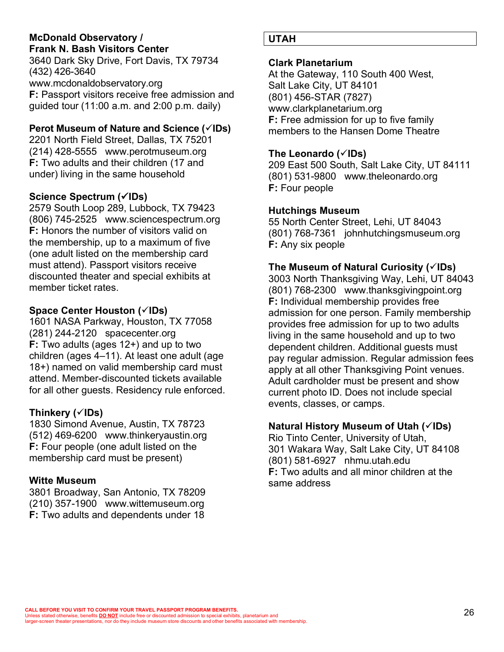## **McDonald Observatory / Frank N. Bash Visitors Center**

3640 Dark Sky Drive, Fort Davis, TX 79734 (432) 426-3640 www.mcdonaldobservatory.org **F:** Passport visitors receive free admission and guided tour (11:00 a.m. and 2:00 p.m. daily)

# **Perot Museum of Nature and Science (** $\check{\mathcal{C}}$ **IDs)**

2201 North Field Street, Dallas, TX 75201 (214) 428-5555 www.perotmuseum.org **F:** Two adults and their children (17 and under) living in the same household

# **Science Spectrum (**ü**IDs)**

2579 South Loop 289, Lubbock, TX 79423 (806) 745-2525 www.sciencespectrum.org **F:** Honors the number of visitors valid on the membership, up to a maximum of five (one adult listed on the membership card must attend). Passport visitors receive discounted theater and special exhibits at member ticket rates.

# **Space Center Houston (**ü**IDs)**

1601 NASA Parkway, Houston, TX 77058 (281) 244-2120 spacecenter.org **F:** Two adults (ages 12+) and up to two children (ages 4–11). At least one adult (age 18+) named on valid membership card must attend. Member-discounted tickets available for all other guests. Residency rule enforced.

# **Thinkery (**ü**IDs)**

1830 Simond Avenue, Austin, TX 78723 (512) 469-6200 www.thinkeryaustin.org **F:** Four people (one adult listed on the membership card must be present)

# **Witte Museum**

3801 Broadway, San Antonio, TX 78209 (210) 357-1900 www.wittemuseum.org **F:** Two adults and dependents under 18

# **UTAH**

## **Clark Planetarium**

At the Gateway, 110 South 400 West, Salt Lake City, UT 84101 (801) 456-STAR (7827) www.clarkplanetarium.org **F:** Free admission for up to five family members to the Hansen Dome Theatre

# **The Leonardo (**ü**IDs)**

209 East 500 South, Salt Lake City, UT 84111 (801) 531-9800 www.theleonardo.org **F:** Four people

# **Hutchings Museum**

55 North Center Street, Lehi, UT 84043 (801) 768-7361 johnhutchingsmuseum.org **F:** Any six people

# **The Museum of Natural Curiosity (**ü**IDs)**

3003 North Thanksgiving Way, Lehi, UT 84043 (801) 768-2300 www.thanksgivingpoint.org **F:** Individual membership provides free admission for one person. Family membership provides free admission for up to two adults living in the same household and up to two dependent children. Additional guests must pay regular admission. Regular admission fees apply at all other Thanksgiving Point venues. Adult cardholder must be present and show current photo ID. Does not include special events, classes, or camps.

# **Natural History Museum of Utah (**ü**IDs)**

Rio Tinto Center, University of Utah, 301 Wakara Way, Salt Lake City, UT 84108 (801) 581-6927 nhmu.utah.edu **F:** Two adults and all minor children at the same address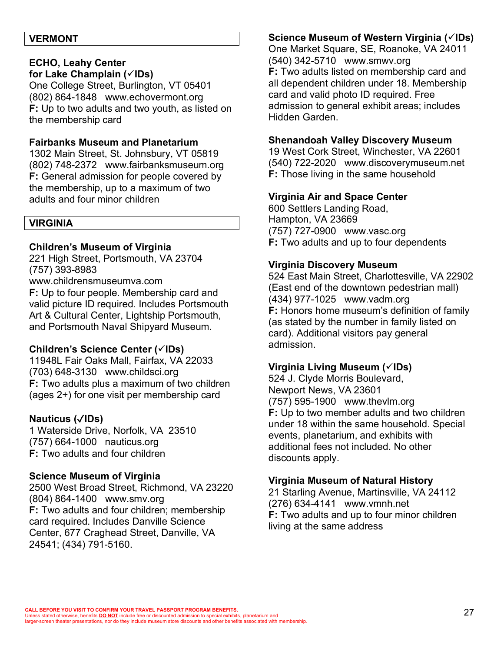#### **VERMONT**

# **ECHO, Leahy Center**

**for Lake Champlain (**ü**IDs)**

One College Street, Burlington, VT 05401 (802) 864-1848 www.echovermont.org **F:** Up to two adults and two youth, as listed on the membership card

#### **Fairbanks Museum and Planetarium**

1302 Main Street, St. Johnsbury, VT 05819 (802) 748-2372 www.fairbanksmuseum.org **F:** General admission for people covered by the membership, up to a maximum of two adults and four minor children

#### **VIRGINIA**

#### **Children's Museum of Virginia**

221 High Street, Portsmouth, VA 23704 (757) 393-8983

www.childrensmuseumva.com **F:** Up to four people. Membership card and valid picture ID required. Includes Portsmouth Art & Cultural Center, Lightship Portsmouth, and Portsmouth Naval Shipyard Museum.

#### **Children's Science Center (√IDs)**

11948L Fair Oaks Mall, Fairfax, VA 22033 (703) 648-3130 www.childsci.org **F:** Two adults plus a maximum of two children (ages 2+) for one visit per membership card

## **Nauticus (**✓**IDs)**

1 Waterside Drive, Norfolk, VA 23510 (757) 664-1000 nauticus.org **F:** Two adults and four children

#### **Science Museum of Virginia**

2500 West Broad Street, Richmond, VA 23220 (804) 864-1400 www.smv.org **F:** Two adults and four children; membership card required. Includes Danville Science Center, 677 Craghead Street, Danville, VA 24541; (434) 791-5160.

## **Science Museum of Western Virginia (√IDs)**

One Market Square, SE, Roanoke, VA 24011 (540) 342-5710 www.smwv.org **F:** Two adults listed on membership card and all dependent children under 18. Membership card and valid photo ID required. Free admission to general exhibit areas; includes Hidden Garden.

#### **Shenandoah Valley Discovery Museum**

19 West Cork Street, Winchester, VA 22601 (540) 722-2020 www.discoverymuseum.net **F:** Those living in the same household

#### **Virginia Air and Space Center**

600 Settlers Landing Road, Hampton, VA 23669 (757) 727-0900 www.vasc.org **F:** Two adults and up to four dependents

#### **Virginia Discovery Museum**

524 East Main Street, Charlottesville, VA 22902 (East end of the downtown pedestrian mall) (434) 977-1025 www.vadm.org **F:** Honors home museum's definition of family (as stated by the number in family listed on card). Additional visitors pay general admission.

#### **Virginia Living Museum (**ü**IDs)**

524 J. Clyde Morris Boulevard, Newport News, VA 23601 (757) 595-1900 www.thevlm.org **F:** Up to two member adults and two children under 18 within the same household. Special events, planetarium, and exhibits with additional fees not included. No other discounts apply.

#### **Virginia Museum of Natural History**

21 Starling Avenue, Martinsville, VA 24112 (276) 634-4141 www.vmnh.net **F:** Two adults and up to four minor children living at the same address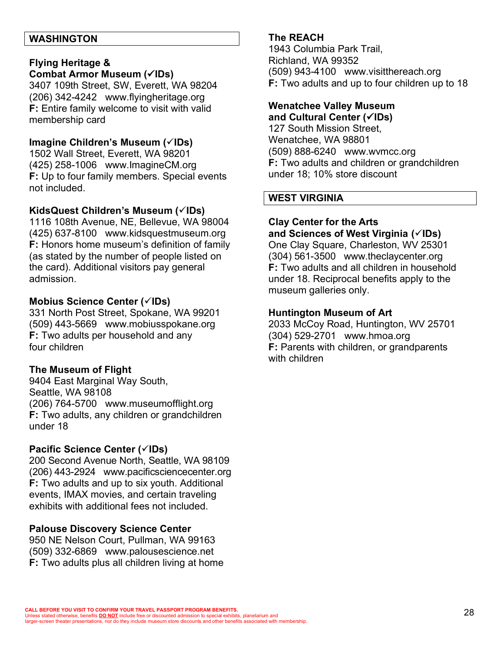#### **WASHINGTON**

#### **Flying Heritage &**

#### **Combat Armor Museum (√IDs)**

3407 109th Street, SW, Everett, WA 98204 (206) 342-4242 www.flyingheritage.org **F:** Entire family welcome to visit with valid membership card

#### **Imagine Children's Museum (√IDs)**

1502 Wall Street, Everett, WA 98201 (425) 258-1006 www.ImagineCM.org **F:** Up to four family members. Special events not included.

#### KidsQuest Children's Museum ( $\checkmark$ IDs)

1116 108th Avenue, NE, Bellevue, WA 98004 (425) 637-8100 www.kidsquestmuseum.org **F:** Honors home museum's definition of family (as stated by the number of people listed on the card). Additional visitors pay general admission.

#### **Mobius Science Center (√IDs)**

331 North Post Street, Spokane, WA 99201 (509) 443-5669 www.mobiusspokane.org **F:** Two adults per household and any four children

## **The Museum of Flight**

9404 East Marginal Way South, Seattle, WA 98108 (206) 764-5700 www.museumofflight.org **F:** Two adults, any children or grandchildren under 18

#### **Pacific Science Center (√IDs)**

200 Second Avenue North, Seattle, WA 98109 (206) 443-2924 www.pacificsciencecenter.org **F:** Two adults and up to six youth. Additional events, IMAX movies, and certain traveling exhibits with additional fees not included.

#### **Palouse Discovery Science Center**

950 NE Nelson Court, Pullman, WA 99163 (509) 332-6869 www.palousescience.net **F:** Two adults plus all children living at home

#### **The REACH**

1943 Columbia Park Trail, Richland, WA 99352 (509) 943-4100 www.visitthereach.org **F:** Two adults and up to four children up to 18

#### **Wenatchee Valley Museum and Cultural Center (**ü**IDs)**

127 South Mission Street, Wenatchee, WA 98801 (509) 888-6240 www.wvmcc.org **F:** Two adults and children or grandchildren under 18; 10% store discount

## **WEST VIRGINIA**

## **Clay Center for the Arts**

**and Sciences of West Virginia (**ü**IDs)**

One Clay Square, Charleston, WV 25301 (304) 561-3500 www.theclaycenter.org **F:** Two adults and all children in household under 18. Reciprocal benefits apply to the museum galleries only.

#### **Huntington Museum of Art**

2033 McCoy Road, Huntington, WV 25701 (304) 529-2701 www.hmoa.org **F:** Parents with children, or grandparents with children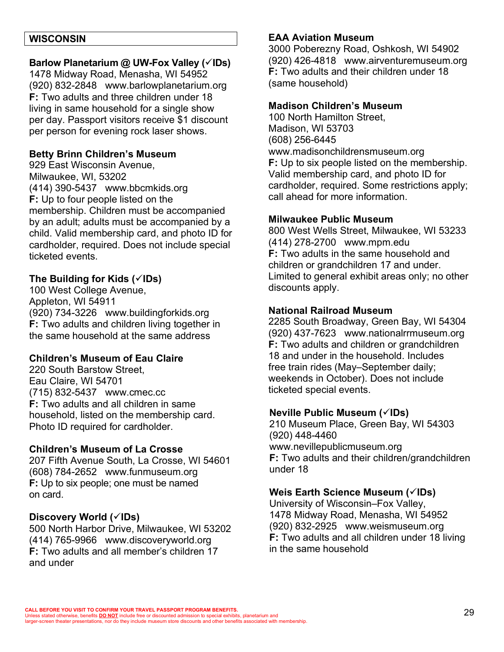#### **WISCONSIN**

#### **Barlow Planetarium @ UW-Fox Valley (√IDs)**

1478 Midway Road, Menasha, WI 54952 (920) 832-2848 www.barlowplanetarium.org **F:** Two adults and three children under 18 living in same household for a single show per day. Passport visitors receive \$1 discount per person for evening rock laser shows.

#### **Betty Brinn Children's Museum**

929 East Wisconsin Avenue, Milwaukee, WI, 53202 (414) 390-5437 www.bbcmkids.org **F:** Up to four people listed on the membership. Children must be accompanied by an adult; adults must be accompanied by a child. Valid membership card, and photo ID for cardholder, required. Does not include special ticketed events.

#### **The Building for Kids (**ü**IDs)**

100 West College Avenue, Appleton, WI 54911 (920) 734-3226 www.buildingforkids.org **F:** Two adults and children living together in the same household at the same address

#### **Children's Museum of Eau Claire**

220 South Barstow Street, Eau Claire, WI 54701 (715) 832-5437 www.cmec.cc **F:** Two adults and all children in same household, listed on the membership card. Photo ID required for cardholder.

#### **Children's Museum of La Crosse**

207 Fifth Avenue South, La Crosse, WI 54601 (608) 784-2652 www.funmuseum.org **F:** Up to six people; one must be named on card.

#### Discovery World ( $\checkmark$ IDs)

500 North Harbor Drive, Milwaukee, WI 53202 (414) 765-9966 www.discoveryworld.org **F:** Two adults and all member's children 17 and under

#### **EAA Aviation Museum**

3000 Poberezny Road, Oshkosh, WI 54902 (920) 426-4818 www.airventuremuseum.org **F:** Two adults and their children under 18 (same household)

#### **Madison Children's Museum**

100 North Hamilton Street, Madison, WI 53703 (608) 256-6445 www.madisonchildrensmuseum.org **F:** Up to six people listed on the membership. Valid membership card, and photo ID for cardholder, required. Some restrictions apply; call ahead for more information.

#### **Milwaukee Public Museum**

800 West Wells Street, Milwaukee, WI 53233 (414) 278-2700 www.mpm.edu **F:** Two adults in the same household and children or grandchildren 17 and under. Limited to general exhibit areas only; no other discounts apply.

#### **National Railroad Museum**

2285 South Broadway, Green Bay, WI 54304 (920) 437-7623 www.nationalrrmuseum.org **F:** Two adults and children or grandchildren 18 and under in the household. Includes free train rides (May–September daily; weekends in October). Does not include ticketed special events.

#### **Neville Public Museum (**ü**IDs)**

210 Museum Place, Green Bay, WI 54303 (920) 448-4460 www.nevillepublicmuseum.org **F:** Two adults and their children/grandchildren under 18

#### **Weis Earth Science Museum (**ü**IDs)**

University of Wisconsin–Fox Valley, 1478 Midway Road, Menasha, WI 54952 (920) 832-2925 www.weismuseum.org **F:** Two adults and all children under 18 living in the same household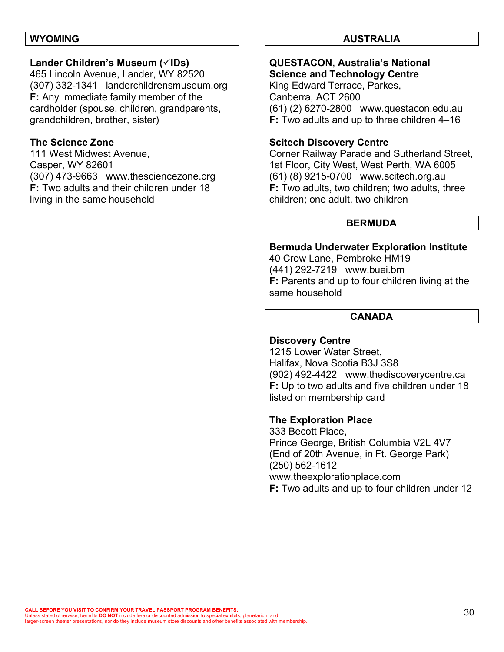#### **WYOMING**

#### **Lander Children's Museum (√IDs)**

465 Lincoln Avenue, Lander, WY 82520 (307) 332-1341 landerchildrensmuseum.org **F:** Any immediate family member of the cardholder (spouse, children, grandparents, grandchildren, brother, sister)

#### **The Science Zone**

111 West Midwest Avenue, Casper, WY 82601 (307) 473-9663 www.thesciencezone.org **F:** Two adults and their children under 18 living in the same household

#### **AUSTRALIA**

#### **QUESTACON, Australia's National Science and Technology Centre**

King Edward Terrace, Parkes, Canberra, ACT 2600 (61) (2) 6270-2800 www.questacon.edu.au **F:** Two adults and up to three children 4–16

#### **Scitech Discovery Centre**

Corner Railway Parade and Sutherland Street, 1st Floor, City West, West Perth, WA 6005 (61) (8) 9215-0700 www.scitech.org.au **F:** Two adults, two children; two adults, three children; one adult, two children

#### **BERMUDA**

#### **Bermuda Underwater Exploration Institute**

40 Crow Lane, Pembroke HM19 (441) 292-7219 www.buei.bm **F:** Parents and up to four children living at the same household

#### **CANADA**

#### **Discovery Centre**

1215 Lower Water Street, Halifax, Nova Scotia B3J 3S8 (902) 492-4422 www.thediscoverycentre.ca **F:** Up to two adults and five children under 18 listed on membership card

#### **The Exploration Place**

333 Becott Place, Prince George, British Columbia V2L 4V7 (End of 20th Avenue, in Ft. George Park) (250) 562-1612 www.theexplorationplace.com **F:** Two adults and up to four children under 12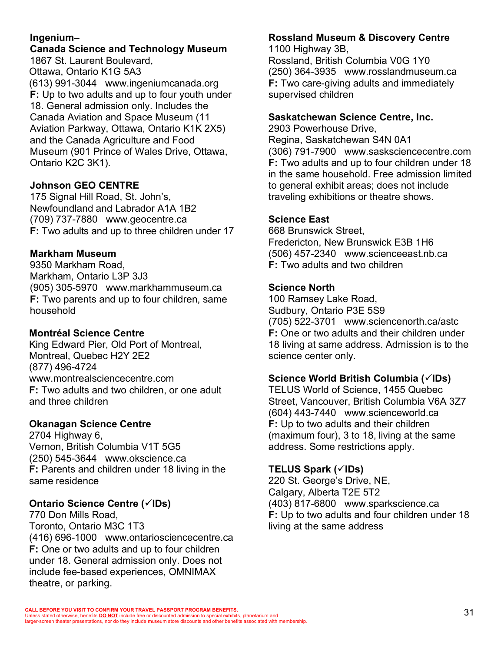## **Ingenium–**

#### **Canada Science and Technology Museum** 1867 St. Laurent Boulevard,

Ottawa, Ontario K1G 5A3 (613) 991-3044 www.ingeniumcanada.org **F:** Up to two adults and up to four youth under 18. General admission only. Includes the Canada Aviation and Space Museum (11 Aviation Parkway, Ottawa, Ontario K1K 2X5) and the Canada Agriculture and Food Museum (901 Prince of Wales Drive, Ottawa, Ontario K2C 3K1).

# **Johnson GEO CENTRE**

175 Signal Hill Road, St. John's, Newfoundland and Labrador A1A 1B2 (709) 737-7880 www.geocentre.ca **F:** Two adults and up to three children under 17

## **Markham Museum**

9350 Markham Road, Markham, Ontario L3P 3J3 (905) 305-5970 www.markhammuseum.ca **F:** Two parents and up to four children, same household

## **Montréal Science Centre**

King Edward Pier, Old Port of Montreal, Montreal, Quebec H2Y 2E2 (877) 496-4724 www.montrealsciencecentre.com **F:** Two adults and two children, or one adult and three children

## **Okanagan Science Centre**

2704 Highway 6, Vernon, British Columbia V1T 5G5 (250) 545-3644 www.okscience.ca **F:** Parents and children under 18 living in the same residence

## **Ontario Science Centre (√IDs)**

770 Don Mills Road, Toronto, Ontario M3C 1T3 (416) 696-1000 www.ontariosciencecentre.ca **F:** One or two adults and up to four children under 18. General admission only. Does not include fee-based experiences, OMNIMAX theatre, or parking.

# **Rossland Museum & Discovery Centre**

1100 Highway 3B, Rossland, British Columbia V0G 1Y0 (250) 364-3935 www.rosslandmuseum.ca **F:** Two care-giving adults and immediately supervised children

#### **Saskatchewan Science Centre, Inc.**

2903 Powerhouse Drive, Regina, Saskatchewan S4N 0A1 (306) 791-7900 www.sasksciencecentre.com **F:** Two adults and up to four children under 18 in the same household. Free admission limited to general exhibit areas; does not include traveling exhibitions or theatre shows.

#### **Science East**

668 Brunswick Street, Fredericton, New Brunswick E3B 1H6 (506) 457-2340 www.scienceeast.nb.ca **F:** Two adults and two children

#### **Science North**

100 Ramsey Lake Road, Sudbury, Ontario P3E 5S9 (705) 522-3701 www.sciencenorth.ca/astc **F:** One or two adults and their children under 18 living at same address. Admission is to the science center only.

#### **Science World British Columbia (**ü**IDs)**

TELUS World of Science, 1455 Quebec Street, Vancouver, British Columbia V6A 3Z7 (604) 443-7440 www.scienceworld.ca **F:** Up to two adults and their children (maximum four), 3 to 18, living at the same address. Some restrictions apply.

## **TELUS Spark (**ü**IDs)**

220 St. George's Drive, NE, Calgary, Alberta T2E 5T2 (403) 817-6800 www.sparkscience.ca **F:** Up to two adults and four children under 18 living at the same address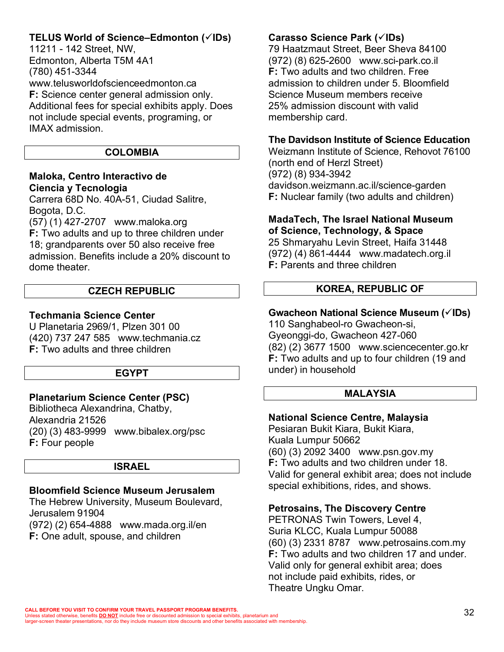# **TELUS World of Science–Edmonton (**ü**IDs)**

11211 - 142 Street, NW, Edmonton, Alberta T5M 4A1 (780) 451-3344 www.telusworldofscienceedmonton.ca **F:** Science center general admission only. Additional fees for special exhibits apply. Does not include special events, programing, or IMAX admission.

#### **COLOMBIA**

## **Maloka, Centro Interactivo de Ciencia y Tecnologia**

Carrera 68D No. 40A-51, Ciudad Salitre, Bogota, D.C.

(57) (1) 427-2707 www.maloka.org **F:** Two adults and up to three children under 18; grandparents over 50 also receive free admission. Benefits include a 20% discount to dome theater.

## **CZECH REPUBLIC**

## **Techmania Science Center**

U Planetaria 2969/1, Plzen 301 00 (420) 737 247 585 www.techmania.cz **F:** Two adults and three children

## **EGYPT**

# **Planetarium Science Center (PSC)**

Bibliotheca Alexandrina, Chatby, Alexandria 21526 (20) (3) 483-9999 www.bibalex.org/psc **F:** Four people

## **ISRAEL**

# **Bloomfield Science Museum Jerusalem**

The Hebrew University, Museum Boulevard, Jerusalem 91904 (972) (2) 654-4888 www.mada.org.il/en

**F:** One adult, spouse, and children

# **Carasso Science Park (**ü**IDs)**

79 Haatzmaut Street, Beer Sheva 84100 (972) (8) 625-2600 www.sci-park.co.il **F:** Two adults and two children. Free admission to children under 5. Bloomfield Science Museum members receive 25% admission discount with valid membership card.

# **The Davidson Institute of Science Education**

Weizmann Institute of Science, Rehovot 76100 (north end of Herzl Street) (972) (8) 934-3942 davidson.weizmann.ac.il/science-garden **F:** Nuclear family (two adults and children)

#### **MadaTech, The Israel National Museum of Science, Technology, & Space**

25 Shmaryahu Levin Street, Haifa 31448 (972) (4) 861-4444 www.madatech.org.il **F:** Parents and three children

# **KOREA, REPUBLIC OF**

# **Gwacheon National Science Museum (**ü**IDs)**

110 Sanghabeol-ro Gwacheon-si, Gyeonggi-do, Gwacheon 427-060 (82) (2) 3677 1500 www.sciencecenter.go.kr **F:** Two adults and up to four children (19 and under) in household

# **MALAYSIA**

# **National Science Centre, Malaysia**

Pesiaran Bukit Kiara, Bukit Kiara, Kuala Lumpur 50662 (60) (3) 2092 3400 www.psn.gov.my **F:** Two adults and two children under 18. Valid for general exhibit area; does not include special exhibitions, rides, and shows.

# **Petrosains, The Discovery Centre**

PETRONAS Twin Towers, Level 4, Suria KLCC, Kuala Lumpur 50088 (60) (3) 2331 8787 www.petrosains.com.my **F:** Two adults and two children 17 and under. Valid only for general exhibit area; does not include paid exhibits, rides, or Theatre Ungku Omar.